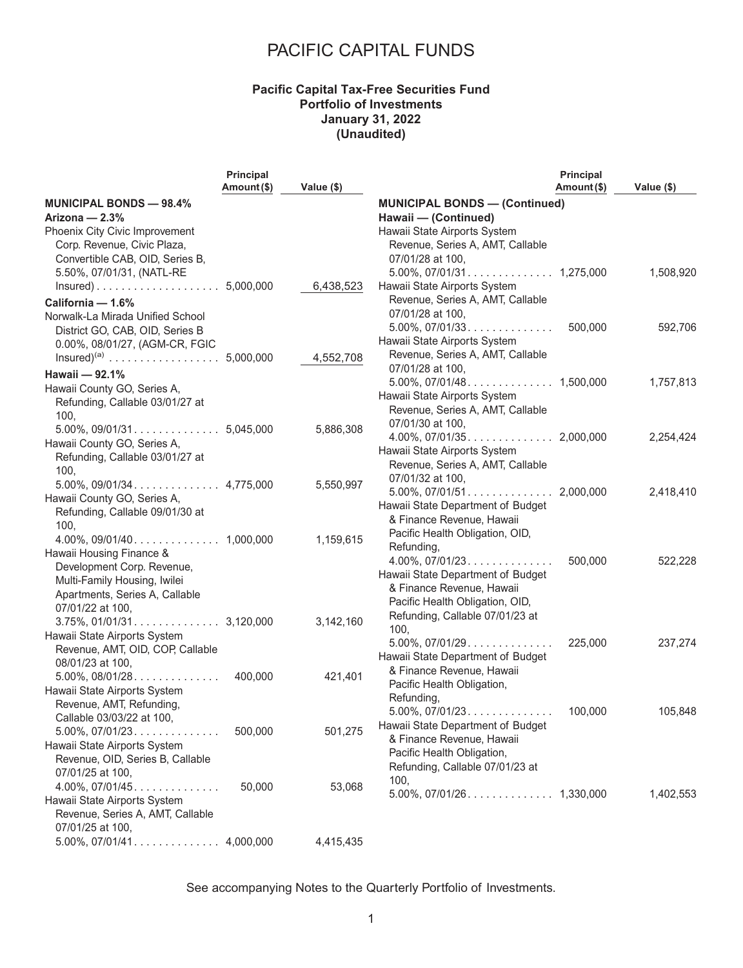#### **Pacific Capital Tax-Free Securities Fund Portfolio of Investments January 31, 2022 (Unaudited)**

| Amount (\$)<br>Amount (\$)<br>Value (\$)<br>Value (\$)<br><b>MUNICIPAL BONDS - 98.4%</b><br><b>MUNICIPAL BONDS - (Continued)</b><br>Arizona - 2.3%<br>Hawaii - (Continued)<br>Phoenix City Civic Improvement<br>Hawaii State Airports System<br>Corp. Revenue, Civic Plaza,<br>Revenue, Series A, AMT, Callable<br>Convertible CAB, OID, Series B,<br>07/01/28 at 100,<br>5.50%, 07/01/31, (NATL-RE<br>1,508,920<br>6,438,523<br>Hawaii State Airports System<br>Revenue, Series A, AMT, Callable<br>California - 1.6%<br>07/01/28 at 100,<br>Norwalk-La Mirada Unified School<br>$5.00\%$ , $07/01/33$<br>500,000<br>592,706<br>District GO, CAB, OID, Series B<br>Hawaii State Airports System<br>0.00%, 08/01/27, (AGM-CR, FGIC<br>Revenue, Series A, AMT, Callable<br>4,552,708<br>07/01/28 at 100,<br>Hawaii - 92.1%<br>1,757,813<br>Hawaii County GO, Series A,<br>Hawaii State Airports System<br>Refunding, Callable 03/01/27 at<br>Revenue, Series A, AMT, Callable<br>100,<br>07/01/30 at 100,<br>5,886,308<br>2,254,424<br>Hawaii County GO, Series A,<br>Hawaii State Airports System<br>Refunding, Callable 03/01/27 at<br>Revenue, Series A, AMT, Callable<br>100,<br>07/01/32 at 100,<br>5,550,997<br>2,418,410<br>Hawaii State Department of Budget<br>Refunding, Callable 09/01/30 at<br>& Finance Revenue, Hawaii<br>100,<br>Pacific Health Obligation, OID,<br>1,159,615<br>Refunding,<br>Hawaii Housing Finance &<br>$4.00\%$ , $07/01/23$<br>500,000<br>522,228<br>Development Corp. Revenue,<br>Hawaii State Department of Budget<br>Multi-Family Housing, Iwilei<br>& Finance Revenue, Hawaii<br>Apartments, Series A, Callable<br>Pacific Health Obligation, OID,<br>07/01/22 at 100,<br>Refunding, Callable 07/01/23 at<br>3,142,160<br>100,<br>Hawaii State Airports System<br>$5.00\%$ , $07/01/29$<br>225,000<br>237,274<br>Revenue, AMT, OID, COP, Callable<br>Hawaii State Department of Budget<br>08/01/23 at 100,<br>& Finance Revenue, Hawaii<br>$5.00\%$ , $08/01/28$<br>400,000<br>421,401<br>Pacific Health Obligation,<br>Hawaii State Airports System<br>Refunding,<br>Revenue, AMT, Refunding,<br>$5.00\%$ , $07/01/23$<br>100,000<br>105,848<br>Callable 03/03/22 at 100,<br>Hawaii State Department of Budget<br>501,275<br>500,000<br>$5.00\%$ , $07/01/23$<br>& Finance Revenue, Hawaii<br>Hawaii State Airports System<br>Pacific Health Obligation,<br>Revenue, OID, Series B, Callable<br>Refunding, Callable 07/01/23 at<br>07/01/25 at 100,<br>100,<br>53,068<br>$4.00\%$ , $07/01/45$<br>50,000<br>1,402,553<br>Hawaii State Airports System<br>Revenue, Series A, AMT, Callable |                             | Principal |  | Principal |  |
|-----------------------------------------------------------------------------------------------------------------------------------------------------------------------------------------------------------------------------------------------------------------------------------------------------------------------------------------------------------------------------------------------------------------------------------------------------------------------------------------------------------------------------------------------------------------------------------------------------------------------------------------------------------------------------------------------------------------------------------------------------------------------------------------------------------------------------------------------------------------------------------------------------------------------------------------------------------------------------------------------------------------------------------------------------------------------------------------------------------------------------------------------------------------------------------------------------------------------------------------------------------------------------------------------------------------------------------------------------------------------------------------------------------------------------------------------------------------------------------------------------------------------------------------------------------------------------------------------------------------------------------------------------------------------------------------------------------------------------------------------------------------------------------------------------------------------------------------------------------------------------------------------------------------------------------------------------------------------------------------------------------------------------------------------------------------------------------------------------------------------------------------------------------------------------------------------------------------------------------------------------------------------------------------------------------------------------------------------------------------------------------------------------------------------------------------------------------------------------------------------------------------------------------------------------------------------------------------------------------------------------------|-----------------------------|-----------|--|-----------|--|
|                                                                                                                                                                                                                                                                                                                                                                                                                                                                                                                                                                                                                                                                                                                                                                                                                                                                                                                                                                                                                                                                                                                                                                                                                                                                                                                                                                                                                                                                                                                                                                                                                                                                                                                                                                                                                                                                                                                                                                                                                                                                                                                                                                                                                                                                                                                                                                                                                                                                                                                                                                                                                                   |                             |           |  |           |  |
|                                                                                                                                                                                                                                                                                                                                                                                                                                                                                                                                                                                                                                                                                                                                                                                                                                                                                                                                                                                                                                                                                                                                                                                                                                                                                                                                                                                                                                                                                                                                                                                                                                                                                                                                                                                                                                                                                                                                                                                                                                                                                                                                                                                                                                                                                                                                                                                                                                                                                                                                                                                                                                   |                             |           |  |           |  |
|                                                                                                                                                                                                                                                                                                                                                                                                                                                                                                                                                                                                                                                                                                                                                                                                                                                                                                                                                                                                                                                                                                                                                                                                                                                                                                                                                                                                                                                                                                                                                                                                                                                                                                                                                                                                                                                                                                                                                                                                                                                                                                                                                                                                                                                                                                                                                                                                                                                                                                                                                                                                                                   |                             |           |  |           |  |
|                                                                                                                                                                                                                                                                                                                                                                                                                                                                                                                                                                                                                                                                                                                                                                                                                                                                                                                                                                                                                                                                                                                                                                                                                                                                                                                                                                                                                                                                                                                                                                                                                                                                                                                                                                                                                                                                                                                                                                                                                                                                                                                                                                                                                                                                                                                                                                                                                                                                                                                                                                                                                                   |                             |           |  |           |  |
|                                                                                                                                                                                                                                                                                                                                                                                                                                                                                                                                                                                                                                                                                                                                                                                                                                                                                                                                                                                                                                                                                                                                                                                                                                                                                                                                                                                                                                                                                                                                                                                                                                                                                                                                                                                                                                                                                                                                                                                                                                                                                                                                                                                                                                                                                                                                                                                                                                                                                                                                                                                                                                   |                             |           |  |           |  |
|                                                                                                                                                                                                                                                                                                                                                                                                                                                                                                                                                                                                                                                                                                                                                                                                                                                                                                                                                                                                                                                                                                                                                                                                                                                                                                                                                                                                                                                                                                                                                                                                                                                                                                                                                                                                                                                                                                                                                                                                                                                                                                                                                                                                                                                                                                                                                                                                                                                                                                                                                                                                                                   |                             |           |  |           |  |
|                                                                                                                                                                                                                                                                                                                                                                                                                                                                                                                                                                                                                                                                                                                                                                                                                                                                                                                                                                                                                                                                                                                                                                                                                                                                                                                                                                                                                                                                                                                                                                                                                                                                                                                                                                                                                                                                                                                                                                                                                                                                                                                                                                                                                                                                                                                                                                                                                                                                                                                                                                                                                                   |                             |           |  |           |  |
|                                                                                                                                                                                                                                                                                                                                                                                                                                                                                                                                                                                                                                                                                                                                                                                                                                                                                                                                                                                                                                                                                                                                                                                                                                                                                                                                                                                                                                                                                                                                                                                                                                                                                                                                                                                                                                                                                                                                                                                                                                                                                                                                                                                                                                                                                                                                                                                                                                                                                                                                                                                                                                   |                             |           |  |           |  |
|                                                                                                                                                                                                                                                                                                                                                                                                                                                                                                                                                                                                                                                                                                                                                                                                                                                                                                                                                                                                                                                                                                                                                                                                                                                                                                                                                                                                                                                                                                                                                                                                                                                                                                                                                                                                                                                                                                                                                                                                                                                                                                                                                                                                                                                                                                                                                                                                                                                                                                                                                                                                                                   |                             |           |  |           |  |
|                                                                                                                                                                                                                                                                                                                                                                                                                                                                                                                                                                                                                                                                                                                                                                                                                                                                                                                                                                                                                                                                                                                                                                                                                                                                                                                                                                                                                                                                                                                                                                                                                                                                                                                                                                                                                                                                                                                                                                                                                                                                                                                                                                                                                                                                                                                                                                                                                                                                                                                                                                                                                                   |                             |           |  |           |  |
|                                                                                                                                                                                                                                                                                                                                                                                                                                                                                                                                                                                                                                                                                                                                                                                                                                                                                                                                                                                                                                                                                                                                                                                                                                                                                                                                                                                                                                                                                                                                                                                                                                                                                                                                                                                                                                                                                                                                                                                                                                                                                                                                                                                                                                                                                                                                                                                                                                                                                                                                                                                                                                   |                             |           |  |           |  |
|                                                                                                                                                                                                                                                                                                                                                                                                                                                                                                                                                                                                                                                                                                                                                                                                                                                                                                                                                                                                                                                                                                                                                                                                                                                                                                                                                                                                                                                                                                                                                                                                                                                                                                                                                                                                                                                                                                                                                                                                                                                                                                                                                                                                                                                                                                                                                                                                                                                                                                                                                                                                                                   |                             |           |  |           |  |
|                                                                                                                                                                                                                                                                                                                                                                                                                                                                                                                                                                                                                                                                                                                                                                                                                                                                                                                                                                                                                                                                                                                                                                                                                                                                                                                                                                                                                                                                                                                                                                                                                                                                                                                                                                                                                                                                                                                                                                                                                                                                                                                                                                                                                                                                                                                                                                                                                                                                                                                                                                                                                                   |                             |           |  |           |  |
|                                                                                                                                                                                                                                                                                                                                                                                                                                                                                                                                                                                                                                                                                                                                                                                                                                                                                                                                                                                                                                                                                                                                                                                                                                                                                                                                                                                                                                                                                                                                                                                                                                                                                                                                                                                                                                                                                                                                                                                                                                                                                                                                                                                                                                                                                                                                                                                                                                                                                                                                                                                                                                   |                             |           |  |           |  |
|                                                                                                                                                                                                                                                                                                                                                                                                                                                                                                                                                                                                                                                                                                                                                                                                                                                                                                                                                                                                                                                                                                                                                                                                                                                                                                                                                                                                                                                                                                                                                                                                                                                                                                                                                                                                                                                                                                                                                                                                                                                                                                                                                                                                                                                                                                                                                                                                                                                                                                                                                                                                                                   |                             |           |  |           |  |
|                                                                                                                                                                                                                                                                                                                                                                                                                                                                                                                                                                                                                                                                                                                                                                                                                                                                                                                                                                                                                                                                                                                                                                                                                                                                                                                                                                                                                                                                                                                                                                                                                                                                                                                                                                                                                                                                                                                                                                                                                                                                                                                                                                                                                                                                                                                                                                                                                                                                                                                                                                                                                                   |                             |           |  |           |  |
|                                                                                                                                                                                                                                                                                                                                                                                                                                                                                                                                                                                                                                                                                                                                                                                                                                                                                                                                                                                                                                                                                                                                                                                                                                                                                                                                                                                                                                                                                                                                                                                                                                                                                                                                                                                                                                                                                                                                                                                                                                                                                                                                                                                                                                                                                                                                                                                                                                                                                                                                                                                                                                   |                             |           |  |           |  |
|                                                                                                                                                                                                                                                                                                                                                                                                                                                                                                                                                                                                                                                                                                                                                                                                                                                                                                                                                                                                                                                                                                                                                                                                                                                                                                                                                                                                                                                                                                                                                                                                                                                                                                                                                                                                                                                                                                                                                                                                                                                                                                                                                                                                                                                                                                                                                                                                                                                                                                                                                                                                                                   |                             |           |  |           |  |
|                                                                                                                                                                                                                                                                                                                                                                                                                                                                                                                                                                                                                                                                                                                                                                                                                                                                                                                                                                                                                                                                                                                                                                                                                                                                                                                                                                                                                                                                                                                                                                                                                                                                                                                                                                                                                                                                                                                                                                                                                                                                                                                                                                                                                                                                                                                                                                                                                                                                                                                                                                                                                                   |                             |           |  |           |  |
|                                                                                                                                                                                                                                                                                                                                                                                                                                                                                                                                                                                                                                                                                                                                                                                                                                                                                                                                                                                                                                                                                                                                                                                                                                                                                                                                                                                                                                                                                                                                                                                                                                                                                                                                                                                                                                                                                                                                                                                                                                                                                                                                                                                                                                                                                                                                                                                                                                                                                                                                                                                                                                   |                             |           |  |           |  |
|                                                                                                                                                                                                                                                                                                                                                                                                                                                                                                                                                                                                                                                                                                                                                                                                                                                                                                                                                                                                                                                                                                                                                                                                                                                                                                                                                                                                                                                                                                                                                                                                                                                                                                                                                                                                                                                                                                                                                                                                                                                                                                                                                                                                                                                                                                                                                                                                                                                                                                                                                                                                                                   |                             |           |  |           |  |
|                                                                                                                                                                                                                                                                                                                                                                                                                                                                                                                                                                                                                                                                                                                                                                                                                                                                                                                                                                                                                                                                                                                                                                                                                                                                                                                                                                                                                                                                                                                                                                                                                                                                                                                                                                                                                                                                                                                                                                                                                                                                                                                                                                                                                                                                                                                                                                                                                                                                                                                                                                                                                                   |                             |           |  |           |  |
|                                                                                                                                                                                                                                                                                                                                                                                                                                                                                                                                                                                                                                                                                                                                                                                                                                                                                                                                                                                                                                                                                                                                                                                                                                                                                                                                                                                                                                                                                                                                                                                                                                                                                                                                                                                                                                                                                                                                                                                                                                                                                                                                                                                                                                                                                                                                                                                                                                                                                                                                                                                                                                   | Hawaii County GO, Series A, |           |  |           |  |
|                                                                                                                                                                                                                                                                                                                                                                                                                                                                                                                                                                                                                                                                                                                                                                                                                                                                                                                                                                                                                                                                                                                                                                                                                                                                                                                                                                                                                                                                                                                                                                                                                                                                                                                                                                                                                                                                                                                                                                                                                                                                                                                                                                                                                                                                                                                                                                                                                                                                                                                                                                                                                                   |                             |           |  |           |  |
|                                                                                                                                                                                                                                                                                                                                                                                                                                                                                                                                                                                                                                                                                                                                                                                                                                                                                                                                                                                                                                                                                                                                                                                                                                                                                                                                                                                                                                                                                                                                                                                                                                                                                                                                                                                                                                                                                                                                                                                                                                                                                                                                                                                                                                                                                                                                                                                                                                                                                                                                                                                                                                   |                             |           |  |           |  |
|                                                                                                                                                                                                                                                                                                                                                                                                                                                                                                                                                                                                                                                                                                                                                                                                                                                                                                                                                                                                                                                                                                                                                                                                                                                                                                                                                                                                                                                                                                                                                                                                                                                                                                                                                                                                                                                                                                                                                                                                                                                                                                                                                                                                                                                                                                                                                                                                                                                                                                                                                                                                                                   |                             |           |  |           |  |
|                                                                                                                                                                                                                                                                                                                                                                                                                                                                                                                                                                                                                                                                                                                                                                                                                                                                                                                                                                                                                                                                                                                                                                                                                                                                                                                                                                                                                                                                                                                                                                                                                                                                                                                                                                                                                                                                                                                                                                                                                                                                                                                                                                                                                                                                                                                                                                                                                                                                                                                                                                                                                                   |                             |           |  |           |  |
|                                                                                                                                                                                                                                                                                                                                                                                                                                                                                                                                                                                                                                                                                                                                                                                                                                                                                                                                                                                                                                                                                                                                                                                                                                                                                                                                                                                                                                                                                                                                                                                                                                                                                                                                                                                                                                                                                                                                                                                                                                                                                                                                                                                                                                                                                                                                                                                                                                                                                                                                                                                                                                   |                             |           |  |           |  |
|                                                                                                                                                                                                                                                                                                                                                                                                                                                                                                                                                                                                                                                                                                                                                                                                                                                                                                                                                                                                                                                                                                                                                                                                                                                                                                                                                                                                                                                                                                                                                                                                                                                                                                                                                                                                                                                                                                                                                                                                                                                                                                                                                                                                                                                                                                                                                                                                                                                                                                                                                                                                                                   |                             |           |  |           |  |
|                                                                                                                                                                                                                                                                                                                                                                                                                                                                                                                                                                                                                                                                                                                                                                                                                                                                                                                                                                                                                                                                                                                                                                                                                                                                                                                                                                                                                                                                                                                                                                                                                                                                                                                                                                                                                                                                                                                                                                                                                                                                                                                                                                                                                                                                                                                                                                                                                                                                                                                                                                                                                                   |                             |           |  |           |  |
|                                                                                                                                                                                                                                                                                                                                                                                                                                                                                                                                                                                                                                                                                                                                                                                                                                                                                                                                                                                                                                                                                                                                                                                                                                                                                                                                                                                                                                                                                                                                                                                                                                                                                                                                                                                                                                                                                                                                                                                                                                                                                                                                                                                                                                                                                                                                                                                                                                                                                                                                                                                                                                   |                             |           |  |           |  |
|                                                                                                                                                                                                                                                                                                                                                                                                                                                                                                                                                                                                                                                                                                                                                                                                                                                                                                                                                                                                                                                                                                                                                                                                                                                                                                                                                                                                                                                                                                                                                                                                                                                                                                                                                                                                                                                                                                                                                                                                                                                                                                                                                                                                                                                                                                                                                                                                                                                                                                                                                                                                                                   |                             |           |  |           |  |
|                                                                                                                                                                                                                                                                                                                                                                                                                                                                                                                                                                                                                                                                                                                                                                                                                                                                                                                                                                                                                                                                                                                                                                                                                                                                                                                                                                                                                                                                                                                                                                                                                                                                                                                                                                                                                                                                                                                                                                                                                                                                                                                                                                                                                                                                                                                                                                                                                                                                                                                                                                                                                                   |                             |           |  |           |  |
|                                                                                                                                                                                                                                                                                                                                                                                                                                                                                                                                                                                                                                                                                                                                                                                                                                                                                                                                                                                                                                                                                                                                                                                                                                                                                                                                                                                                                                                                                                                                                                                                                                                                                                                                                                                                                                                                                                                                                                                                                                                                                                                                                                                                                                                                                                                                                                                                                                                                                                                                                                                                                                   |                             |           |  |           |  |
|                                                                                                                                                                                                                                                                                                                                                                                                                                                                                                                                                                                                                                                                                                                                                                                                                                                                                                                                                                                                                                                                                                                                                                                                                                                                                                                                                                                                                                                                                                                                                                                                                                                                                                                                                                                                                                                                                                                                                                                                                                                                                                                                                                                                                                                                                                                                                                                                                                                                                                                                                                                                                                   |                             |           |  |           |  |
|                                                                                                                                                                                                                                                                                                                                                                                                                                                                                                                                                                                                                                                                                                                                                                                                                                                                                                                                                                                                                                                                                                                                                                                                                                                                                                                                                                                                                                                                                                                                                                                                                                                                                                                                                                                                                                                                                                                                                                                                                                                                                                                                                                                                                                                                                                                                                                                                                                                                                                                                                                                                                                   |                             |           |  |           |  |
|                                                                                                                                                                                                                                                                                                                                                                                                                                                                                                                                                                                                                                                                                                                                                                                                                                                                                                                                                                                                                                                                                                                                                                                                                                                                                                                                                                                                                                                                                                                                                                                                                                                                                                                                                                                                                                                                                                                                                                                                                                                                                                                                                                                                                                                                                                                                                                                                                                                                                                                                                                                                                                   |                             |           |  |           |  |
|                                                                                                                                                                                                                                                                                                                                                                                                                                                                                                                                                                                                                                                                                                                                                                                                                                                                                                                                                                                                                                                                                                                                                                                                                                                                                                                                                                                                                                                                                                                                                                                                                                                                                                                                                                                                                                                                                                                                                                                                                                                                                                                                                                                                                                                                                                                                                                                                                                                                                                                                                                                                                                   |                             |           |  |           |  |
|                                                                                                                                                                                                                                                                                                                                                                                                                                                                                                                                                                                                                                                                                                                                                                                                                                                                                                                                                                                                                                                                                                                                                                                                                                                                                                                                                                                                                                                                                                                                                                                                                                                                                                                                                                                                                                                                                                                                                                                                                                                                                                                                                                                                                                                                                                                                                                                                                                                                                                                                                                                                                                   |                             |           |  |           |  |
|                                                                                                                                                                                                                                                                                                                                                                                                                                                                                                                                                                                                                                                                                                                                                                                                                                                                                                                                                                                                                                                                                                                                                                                                                                                                                                                                                                                                                                                                                                                                                                                                                                                                                                                                                                                                                                                                                                                                                                                                                                                                                                                                                                                                                                                                                                                                                                                                                                                                                                                                                                                                                                   |                             |           |  |           |  |
|                                                                                                                                                                                                                                                                                                                                                                                                                                                                                                                                                                                                                                                                                                                                                                                                                                                                                                                                                                                                                                                                                                                                                                                                                                                                                                                                                                                                                                                                                                                                                                                                                                                                                                                                                                                                                                                                                                                                                                                                                                                                                                                                                                                                                                                                                                                                                                                                                                                                                                                                                                                                                                   |                             |           |  |           |  |
|                                                                                                                                                                                                                                                                                                                                                                                                                                                                                                                                                                                                                                                                                                                                                                                                                                                                                                                                                                                                                                                                                                                                                                                                                                                                                                                                                                                                                                                                                                                                                                                                                                                                                                                                                                                                                                                                                                                                                                                                                                                                                                                                                                                                                                                                                                                                                                                                                                                                                                                                                                                                                                   |                             |           |  |           |  |
|                                                                                                                                                                                                                                                                                                                                                                                                                                                                                                                                                                                                                                                                                                                                                                                                                                                                                                                                                                                                                                                                                                                                                                                                                                                                                                                                                                                                                                                                                                                                                                                                                                                                                                                                                                                                                                                                                                                                                                                                                                                                                                                                                                                                                                                                                                                                                                                                                                                                                                                                                                                                                                   |                             |           |  |           |  |
|                                                                                                                                                                                                                                                                                                                                                                                                                                                                                                                                                                                                                                                                                                                                                                                                                                                                                                                                                                                                                                                                                                                                                                                                                                                                                                                                                                                                                                                                                                                                                                                                                                                                                                                                                                                                                                                                                                                                                                                                                                                                                                                                                                                                                                                                                                                                                                                                                                                                                                                                                                                                                                   |                             |           |  |           |  |
|                                                                                                                                                                                                                                                                                                                                                                                                                                                                                                                                                                                                                                                                                                                                                                                                                                                                                                                                                                                                                                                                                                                                                                                                                                                                                                                                                                                                                                                                                                                                                                                                                                                                                                                                                                                                                                                                                                                                                                                                                                                                                                                                                                                                                                                                                                                                                                                                                                                                                                                                                                                                                                   |                             |           |  |           |  |
|                                                                                                                                                                                                                                                                                                                                                                                                                                                                                                                                                                                                                                                                                                                                                                                                                                                                                                                                                                                                                                                                                                                                                                                                                                                                                                                                                                                                                                                                                                                                                                                                                                                                                                                                                                                                                                                                                                                                                                                                                                                                                                                                                                                                                                                                                                                                                                                                                                                                                                                                                                                                                                   | 07/01/25 at 100,            |           |  |           |  |
| 4,415,435                                                                                                                                                                                                                                                                                                                                                                                                                                                                                                                                                                                                                                                                                                                                                                                                                                                                                                                                                                                                                                                                                                                                                                                                                                                                                                                                                                                                                                                                                                                                                                                                                                                                                                                                                                                                                                                                                                                                                                                                                                                                                                                                                                                                                                                                                                                                                                                                                                                                                                                                                                                                                         |                             |           |  |           |  |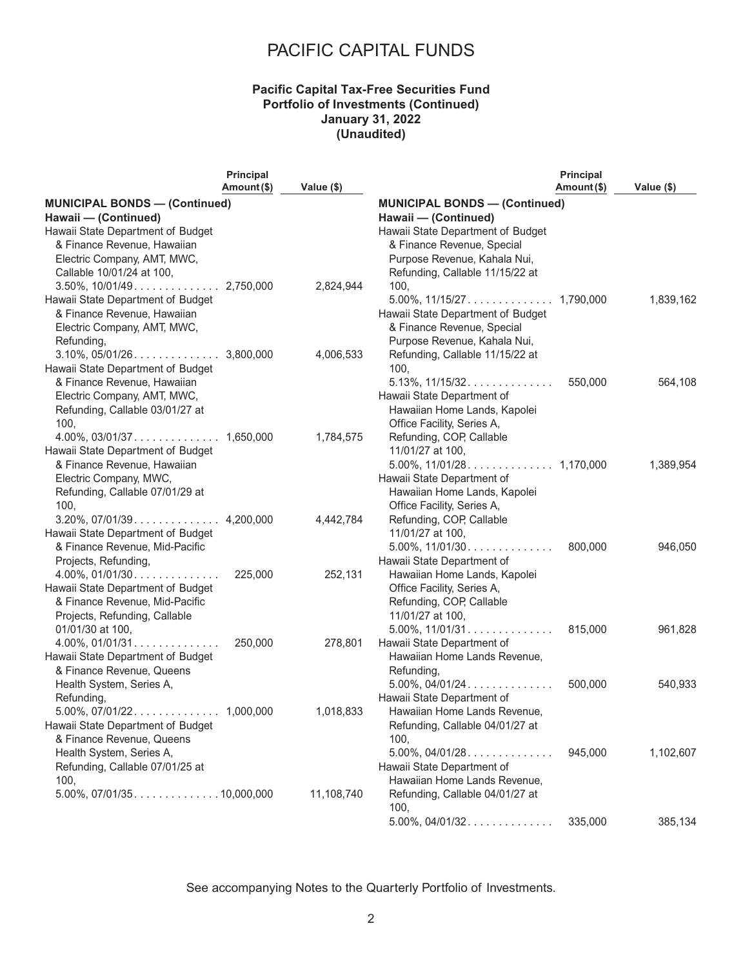### **Pacific Capital Tax-Free Securities Fund Portfolio of Investments (Continued) January 31, 2022 (Unaudited)**

|                                                              | <b>Principal</b> |            |                                                              | <b>Principal</b> |            |
|--------------------------------------------------------------|------------------|------------|--------------------------------------------------------------|------------------|------------|
|                                                              | Amount (\$)      | Value (\$) |                                                              | Amount(\$)       | Value (\$) |
| <b>MUNICIPAL BONDS - (Continued)</b><br>Hawaii - (Continued) |                  |            | <b>MUNICIPAL BONDS - (Continued)</b><br>Hawaii - (Continued) |                  |            |
| Hawaii State Department of Budget                            |                  |            | Hawaii State Department of Budget                            |                  |            |
| & Finance Revenue, Hawaiian                                  |                  |            | & Finance Revenue, Special                                   |                  |            |
| Electric Company, AMT, MWC,                                  |                  |            | Purpose Revenue, Kahala Nui,                                 |                  |            |
|                                                              |                  |            |                                                              |                  |            |
| Callable 10/01/24 at 100,                                    |                  |            | Refunding, Callable 11/15/22 at                              |                  |            |
|                                                              |                  | 2,824,944  | 100,                                                         |                  |            |
| Hawaii State Department of Budget                            |                  |            |                                                              |                  | 1,839,162  |
| & Finance Revenue, Hawaiian                                  |                  |            | Hawaii State Department of Budget                            |                  |            |
| Electric Company, AMT, MWC,                                  |                  |            | & Finance Revenue, Special                                   |                  |            |
| Refunding,                                                   |                  |            | Purpose Revenue, Kahala Nui,                                 |                  |            |
|                                                              |                  | 4,006,533  | Refunding, Callable 11/15/22 at                              |                  |            |
| Hawaii State Department of Budget                            |                  |            | 100,                                                         |                  |            |
| & Finance Revenue, Hawaiian                                  |                  |            | $5.13\%$ , $11/15/32$                                        | 550,000          | 564,108    |
| Electric Company, AMT, MWC,                                  |                  |            | Hawaii State Department of                                   |                  |            |
| Refunding, Callable 03/01/27 at                              |                  |            | Hawaiian Home Lands, Kapolei                                 |                  |            |
| 100,                                                         |                  |            | Office Facility, Series A,                                   |                  |            |
|                                                              |                  | 1,784,575  | Refunding, COP, Callable                                     |                  |            |
| Hawaii State Department of Budget                            |                  |            | 11/01/27 at 100,                                             |                  |            |
| & Finance Revenue, Hawaiian                                  |                  |            |                                                              |                  | 1,389,954  |
| Electric Company, MWC,                                       |                  |            | Hawaii State Department of                                   |                  |            |
| Refunding, Callable 07/01/29 at                              |                  |            | Hawaiian Home Lands, Kapolei                                 |                  |            |
| 100,                                                         |                  |            | Office Facility, Series A,                                   |                  |            |
|                                                              |                  |            |                                                              |                  |            |
|                                                              |                  | 4,442,784  | Refunding, COP, Callable                                     |                  |            |
| Hawaii State Department of Budget                            |                  |            | 11/01/27 at 100,                                             |                  |            |
| & Finance Revenue, Mid-Pacific                               |                  |            | $5.00\%$ , $11/01/30$                                        | 800,000          | 946,050    |
| Projects, Refunding,                                         |                  |            | Hawaii State Department of                                   |                  |            |
| $4.00\%$ , $01/01/30$                                        | 225,000          | 252,131    | Hawaiian Home Lands, Kapolei                                 |                  |            |
| Hawaii State Department of Budget                            |                  |            | Office Facility, Series A,                                   |                  |            |
| & Finance Revenue, Mid-Pacific                               |                  |            | Refunding, COP, Callable                                     |                  |            |
| Projects, Refunding, Callable                                |                  |            | 11/01/27 at 100,                                             |                  |            |
| 01/01/30 at 100,                                             |                  |            | $5.00\%$ , $11/01/31$                                        | 815,000          | 961,828    |
| $4.00\%$ , 01/01/31                                          | 250,000          | 278,801    | Hawaii State Department of                                   |                  |            |
| Hawaii State Department of Budget                            |                  |            | Hawaiian Home Lands Revenue,                                 |                  |            |
| & Finance Revenue, Queens                                    |                  |            | Refunding,                                                   |                  |            |
| Health System, Series A,                                     |                  |            | $5.00\%$ , $04/01/24$                                        | 500,000          | 540,933    |
| Refunding,                                                   |                  |            | Hawaii State Department of                                   |                  |            |
|                                                              |                  | 1,018,833  | Hawaiian Home Lands Revenue,                                 |                  |            |
| Hawaii State Department of Budget                            |                  |            | Refunding, Callable 04/01/27 at                              |                  |            |
| & Finance Revenue, Queens                                    |                  |            | 100,                                                         |                  |            |
| Health System, Series A,                                     |                  |            | $5.00\%$ , $04/01/28$                                        | 945,000          | 1,102,607  |
| Refunding, Callable 07/01/25 at                              |                  |            | Hawaii State Department of                                   |                  |            |
| 100,                                                         |                  |            | Hawaiian Home Lands Revenue,                                 |                  |            |
|                                                              |                  | 11,108,740 | Refunding, Callable 04/01/27 at                              |                  |            |
|                                                              |                  |            | 100,                                                         |                  |            |
|                                                              |                  |            | $5.00\%$ , $04/01/32$                                        | 335,000          | 385,134    |
|                                                              |                  |            |                                                              |                  |            |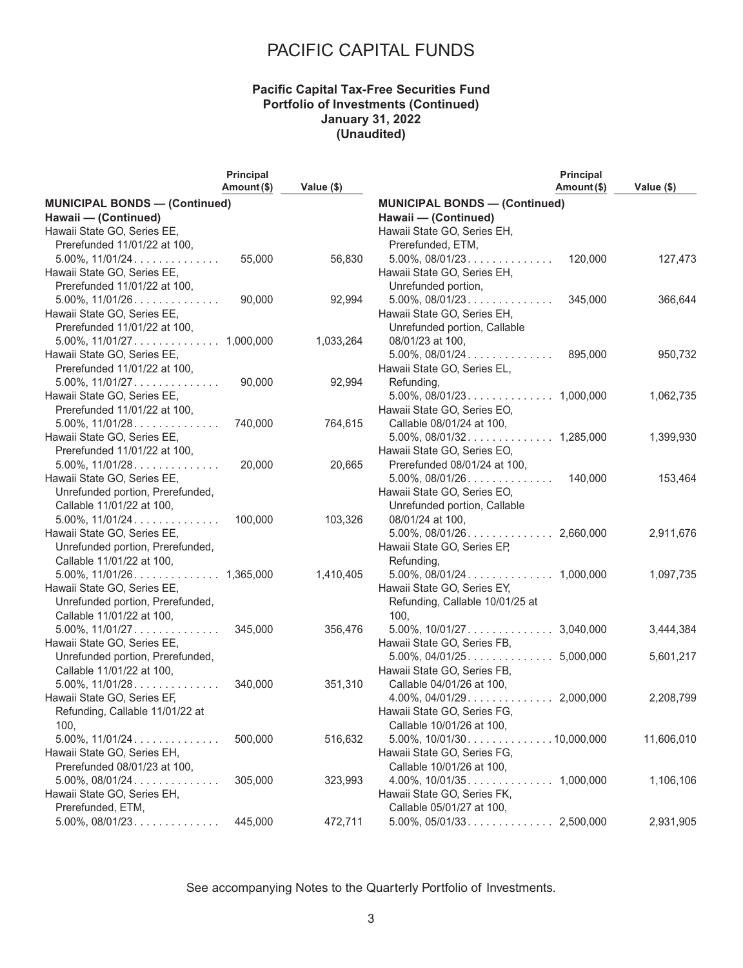### **Pacific Capital Tax-Free Securities Fund Portfolio of Investments (Continued) January 31, 2022 (Unaudited)**

|                                      | Principal   |            | <b>Principal</b>                     |            |
|--------------------------------------|-------------|------------|--------------------------------------|------------|
|                                      | Amount (\$) | Value (\$) | Amount(\$)                           | Value (\$) |
| <b>MUNICIPAL BONDS - (Continued)</b> |             |            | <b>MUNICIPAL BONDS - (Continued)</b> |            |
| Hawaii - (Continued)                 |             |            | Hawaii - (Continued)                 |            |
| Hawaii State GO, Series EE,          |             |            | Hawaii State GO, Series EH,          |            |
| Prerefunded 11/01/22 at 100,         |             |            | Prerefunded, ETM,                    |            |
| $5.00\%$ , $11/01/24$                | 55,000      | 56,830     | 120,000<br>$5.00\%$ , $08/01/23$     | 127,473    |
| Hawaii State GO, Series EE,          |             |            | Hawaii State GO, Series EH,          |            |
| Prerefunded 11/01/22 at 100,         |             |            | Unrefunded portion,                  |            |
| $5.00\%$ , $11/01/26$                | 90,000      | 92,994     | $5.00\%$ , $08/01/23$<br>345,000     | 366,644    |
| Hawaii State GO, Series EE,          |             |            | Hawaii State GO, Series EH,          |            |
| Prerefunded 11/01/22 at 100,         |             |            | Unrefunded portion, Callable         |            |
|                                      |             | 1,033,264  | 08/01/23 at 100,                     |            |
| Hawaii State GO, Series EE,          |             |            | $5.00\%$ , $08/01/24$<br>895,000     | 950,732    |
| Prerefunded 11/01/22 at 100,         |             |            | Hawaii State GO, Series EL,          |            |
| $5.00\%$ , $11/01/27$                | 90,000      | 92,994     | Refunding,                           |            |
| Hawaii State GO, Series EE,          |             |            |                                      | 1,062,735  |
| Prerefunded 11/01/22 at 100,         |             |            | Hawaii State GO, Series EO,          |            |
| $5.00\%$ , $11/01/28$                | 740,000     | 764,615    | Callable 08/01/24 at 100,            |            |
| Hawaii State GO, Series EE,          |             |            |                                      | 1,399,930  |
| Prerefunded 11/01/22 at 100,         |             |            | Hawaii State GO, Series EO,          |            |
| $5.00\%$ , $11/01/28$                | 20,000      | 20,665     | Prerefunded 08/01/24 at 100,         |            |
| Hawaii State GO, Series EE,          |             |            | $5.00\%$ , $08/01/26$<br>140,000     | 153,464    |
| Unrefunded portion, Prerefunded,     |             |            | Hawaii State GO, Series EO,          |            |
| Callable 11/01/22 at 100,            |             |            | Unrefunded portion, Callable         |            |
| $5.00\%$ , $11/01/24$                | 100,000     | 103,326    | 08/01/24 at 100,                     |            |
| Hawaii State GO, Series EE,          |             |            |                                      | 2,911,676  |
| Unrefunded portion, Prerefunded,     |             |            | Hawaii State GO, Series EP,          |            |
| Callable 11/01/22 at 100,            |             |            | Refunding,                           |            |
|                                      |             | 1,410,405  |                                      | 1,097,735  |
| Hawaii State GO, Series EE,          |             |            | Hawaii State GO, Series EY,          |            |
| Unrefunded portion, Prerefunded,     |             |            | Refunding, Callable 10/01/25 at      |            |
| Callable 11/01/22 at 100,            |             |            | 100,                                 |            |
| $5.00\%$ , $11/01/27$                | 345,000     | 356,476    |                                      | 3,444,384  |
| Hawaii State GO, Series EE,          |             |            | Hawaii State GO, Series FB,          |            |
| Unrefunded portion, Prerefunded,     |             |            |                                      | 5,601,217  |
| Callable 11/01/22 at 100,            |             |            | Hawaii State GO, Series FB,          |            |
| $5.00\%$ , $11/01/28$                | 340,000     | 351,310    | Callable 04/01/26 at 100,            |            |
| Hawaii State GO, Series EF,          |             |            |                                      | 2,208,799  |
| Refunding, Callable 11/01/22 at      |             |            | Hawaii State GO, Series FG,          |            |
| 100,                                 |             |            | Callable 10/01/26 at 100,            |            |
| $5.00\%$ , $11/01/24$                | 500,000     | 516,632    | $5.00\%$ , $10/01/30$ 10,000,000     | 11,606,010 |
| Hawaii State GO, Series EH,          |             |            | Hawaii State GO, Series FG,          |            |
| Prerefunded 08/01/23 at 100,         |             |            | Callable 10/01/26 at 100,            |            |
| $5.00\%$ , $08/01/24$                | 305,000     | 323,993    |                                      | 1,106,106  |
| Hawaii State GO, Series EH,          |             |            | Hawaii State GO, Series FK,          |            |
| Prerefunded, ETM,                    |             |            | Callable 05/01/27 at 100,            |            |
| $5.00\%$ , 08/01/23                  | 445,000     | 472,711    |                                      | 2,931,905  |
|                                      |             |            |                                      |            |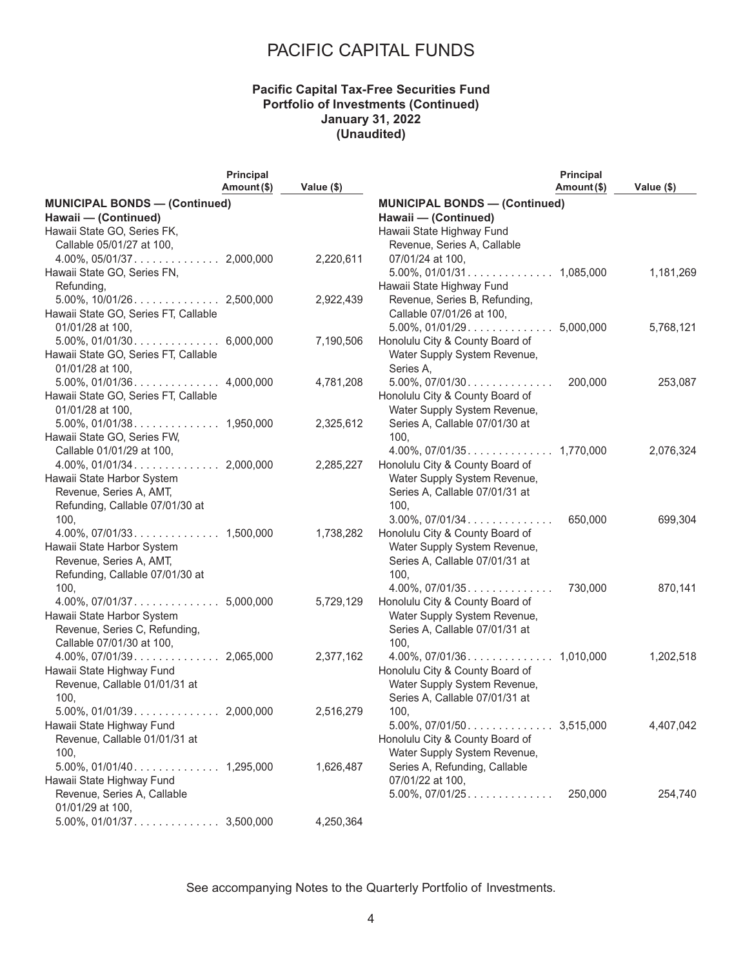### **Pacific Capital Tax-Free Securities Fund Portfolio of Investments (Continued) January 31, 2022 (Unaudited)**

|                                      | <b>Principal</b> |            |                                      | <b>Principal</b> |            |
|--------------------------------------|------------------|------------|--------------------------------------|------------------|------------|
|                                      | Amount (\$)      | Value (\$) |                                      | Amount(\$)       | Value (\$) |
| <b>MUNICIPAL BONDS - (Continued)</b> |                  |            | <b>MUNICIPAL BONDS - (Continued)</b> |                  |            |
| Hawaii - (Continued)                 |                  |            | Hawaii - (Continued)                 |                  |            |
| Hawaii State GO, Series FK,          |                  |            | Hawaii State Highway Fund            |                  |            |
| Callable 05/01/27 at 100,            |                  |            | Revenue, Series A, Callable          |                  |            |
|                                      |                  | 2,220,611  | 07/01/24 at 100,                     |                  |            |
| Hawaii State GO, Series FN,          |                  |            |                                      |                  | 1,181,269  |
| Refunding,                           |                  |            | Hawaii State Highway Fund            |                  |            |
|                                      |                  | 2,922,439  | Revenue, Series B, Refunding,        |                  |            |
| Hawaii State GO, Series FT, Callable |                  |            | Callable 07/01/26 at 100,            |                  |            |
| 01/01/28 at 100,                     |                  |            |                                      |                  | 5,768,121  |
|                                      |                  | 7,190,506  | Honolulu City & County Board of      |                  |            |
| Hawaii State GO, Series FT, Callable |                  |            | Water Supply System Revenue,         |                  |            |
| 01/01/28 at 100,                     |                  |            | Series A,                            |                  |            |
|                                      |                  | 4,781,208  | $5.00\%$ , $07/01/30$                | 200,000          | 253,087    |
| Hawaii State GO, Series FT, Callable |                  |            | Honolulu City & County Board of      |                  |            |
| 01/01/28 at 100,                     |                  |            | Water Supply System Revenue,         |                  |            |
| $5.00\%$ , 01/01/38. 1,950,000       |                  | 2,325,612  | Series A, Callable 07/01/30 at       |                  |            |
| Hawaii State GO, Series FW,          |                  |            | 100,                                 |                  |            |
| Callable 01/01/29 at 100,            |                  |            |                                      |                  | 2,076,324  |
|                                      |                  | 2,285,227  | Honolulu City & County Board of      |                  |            |
| Hawaii State Harbor System           |                  |            | Water Supply System Revenue,         |                  |            |
| Revenue, Series A, AMT,              |                  |            | Series A, Callable 07/01/31 at       |                  |            |
| Refunding, Callable 07/01/30 at      |                  |            | 100,                                 |                  |            |
| 100,                                 |                  |            | $3.00\%$ , $07/01/34$                | 650,000          | 699,304    |
|                                      |                  | 1,738,282  | Honolulu City & County Board of      |                  |            |
| Hawaii State Harbor System           |                  |            | Water Supply System Revenue,         |                  |            |
| Revenue, Series A, AMT,              |                  |            | Series A, Callable 07/01/31 at       |                  |            |
| Refunding, Callable 07/01/30 at      |                  |            | 100,                                 |                  |            |
| 100,                                 |                  |            | $4.00\%$ , $07/01/35$                | 730,000          | 870,141    |
|                                      |                  | 5,729,129  | Honolulu City & County Board of      |                  |            |
| Hawaii State Harbor System           |                  |            | Water Supply System Revenue,         |                  |            |
| Revenue, Series C, Refunding,        |                  |            | Series A, Callable 07/01/31 at       |                  |            |
| Callable 07/01/30 at 100,            |                  |            | 100,                                 |                  |            |
|                                      |                  | 2,377,162  |                                      |                  | 1,202,518  |
| Hawaii State Highway Fund            |                  |            | Honolulu City & County Board of      |                  |            |
| Revenue, Callable 01/01/31 at        |                  |            | Water Supply System Revenue,         |                  |            |
| 100,                                 |                  |            | Series A, Callable 07/01/31 at       |                  |            |
| $5.00\%$ , 01/01/39. 2,000,000       |                  | 2,516,279  | 100,                                 |                  |            |
| Hawaii State Highway Fund            |                  |            |                                      |                  | 4,407,042  |
| Revenue, Callable 01/01/31 at        |                  |            | Honolulu City & County Board of      |                  |            |
| 100,                                 |                  |            | Water Supply System Revenue,         |                  |            |
|                                      |                  | 1,626,487  | Series A, Refunding, Callable        |                  |            |
| Hawaii State Highway Fund            |                  |            | 07/01/22 at 100,                     |                  |            |
| Revenue, Series A, Callable          |                  |            | $5.00\%$ , $07/01/25$                | 250,000          | 254,740    |
| 01/01/29 at 100,                     |                  |            |                                      |                  |            |
|                                      |                  | 4,250,364  |                                      |                  |            |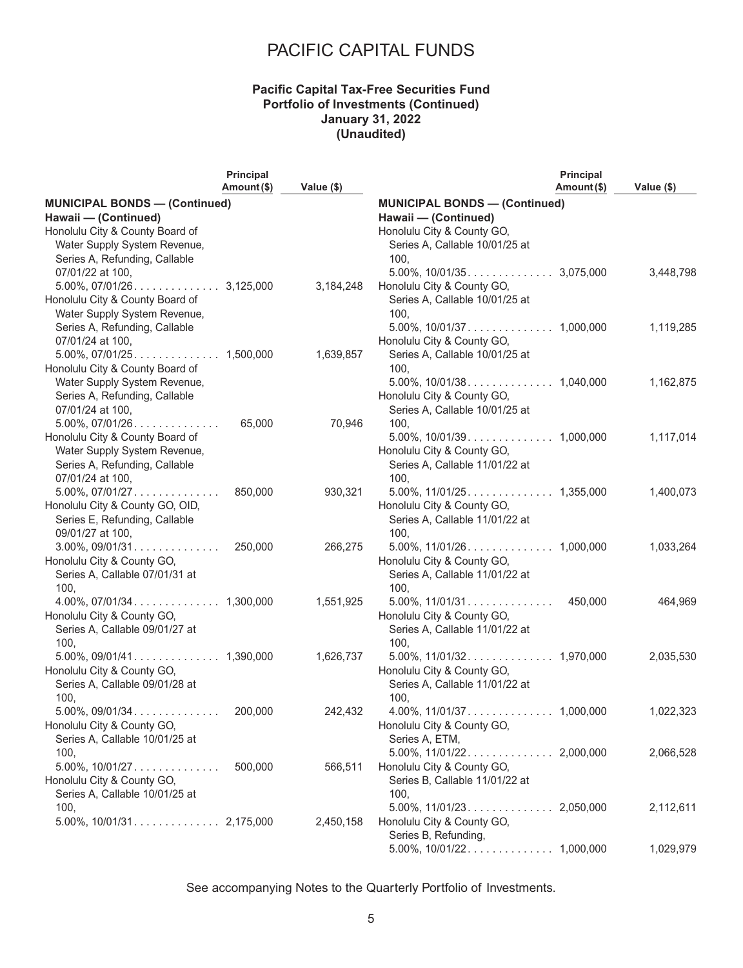### **Pacific Capital Tax-Free Securities Fund Portfolio of Investments (Continued) January 31, 2022 (Unaudited)**

|                                      | <b>Principal</b> |            |                                      | Principal   |            |
|--------------------------------------|------------------|------------|--------------------------------------|-------------|------------|
|                                      | Amount (\$)      | Value (\$) |                                      | Amount (\$) | Value (\$) |
| <b>MUNICIPAL BONDS - (Continued)</b> |                  |            | <b>MUNICIPAL BONDS - (Continued)</b> |             |            |
| Hawaii - (Continued)                 |                  |            | Hawaii - (Continued)                 |             |            |
| Honolulu City & County Board of      |                  |            | Honolulu City & County GO,           |             |            |
| Water Supply System Revenue,         |                  |            | Series A, Callable 10/01/25 at       |             |            |
| Series A, Refunding, Callable        |                  |            | 100,                                 |             |            |
| 07/01/22 at 100,                     |                  |            |                                      |             | 3,448,798  |
|                                      |                  | 3,184,248  | Honolulu City & County GO,           |             |            |
| Honolulu City & County Board of      |                  |            | Series A, Callable 10/01/25 at       |             |            |
| Water Supply System Revenue,         |                  |            | 100,                                 |             |            |
| Series A, Refunding, Callable        |                  |            |                                      |             | 1,119,285  |
| 07/01/24 at 100,                     |                  |            | Honolulu City & County GO,           |             |            |
|                                      |                  | 1,639,857  | Series A, Callable 10/01/25 at       |             |            |
| Honolulu City & County Board of      |                  |            | 100,                                 |             |            |
| Water Supply System Revenue,         |                  |            |                                      |             | 1,162,875  |
| Series A, Refunding, Callable        |                  |            | Honolulu City & County GO,           |             |            |
| 07/01/24 at 100,                     |                  |            | Series A, Callable 10/01/25 at       |             |            |
| $5.00\%$ , $07/01/26$                | 65,000           | 70,946     | 100,                                 |             |            |
| Honolulu City & County Board of      |                  |            |                                      |             | 1,117,014  |
| Water Supply System Revenue,         |                  |            | Honolulu City & County GO,           |             |            |
| Series A, Refunding, Callable        |                  |            | Series A, Callable 11/01/22 at       |             |            |
| 07/01/24 at 100,                     |                  |            | 100,                                 |             |            |
| $5.00\%$ , $07/01/27$                | 850,000          | 930,321    |                                      |             | 1,400,073  |
| Honolulu City & County GO, OID,      |                  |            | Honolulu City & County GO,           |             |            |
| Series E, Refunding, Callable        |                  |            | Series A, Callable 11/01/22 at       |             |            |
| 09/01/27 at 100,                     |                  |            | 100,                                 |             |            |
| $3.00\%$ , 09/01/31                  | 250,000          | 266,275    |                                      |             | 1,033,264  |
| Honolulu City & County GO,           |                  |            | Honolulu City & County GO,           |             |            |
| Series A, Callable 07/01/31 at       |                  |            | Series A, Callable 11/01/22 at       |             |            |
| 100,                                 |                  |            | 100,                                 |             |            |
|                                      |                  | 1,551,925  | $5.00\%$ , $11/01/31$                | 450,000     | 464,969    |
| Honolulu City & County GO,           |                  |            | Honolulu City & County GO,           |             |            |
| Series A, Callable 09/01/27 at       |                  |            | Series A, Callable 11/01/22 at       |             |            |
| 100,                                 |                  |            | 100,                                 |             |            |
|                                      |                  | 1,626,737  |                                      |             | 2,035,530  |
| Honolulu City & County GO,           |                  |            | Honolulu City & County GO,           |             |            |
| Series A, Callable 09/01/28 at       |                  |            | Series A, Callable 11/01/22 at       |             |            |
| 100,                                 |                  |            | 100,                                 |             |            |
| $5.00\%$ , 09/01/34                  | 200,000          | 242,432    |                                      |             | 1,022,323  |
| Honolulu City & County GO,           |                  |            | Honolulu City & County GO,           |             |            |
| Series A, Callable 10/01/25 at       |                  |            | Series A, ETM,                       |             |            |
| 100,                                 |                  |            |                                      |             | 2,066,528  |
| $5.00\%$ , $10/01/27$                | 500.000          | 566,511    | Honolulu City & County GO,           |             |            |
| Honolulu City & County GO,           |                  |            | Series B, Callable 11/01/22 at       |             |            |
| Series A, Callable 10/01/25 at       |                  |            | 100,                                 |             |            |
| 100,                                 |                  |            |                                      |             | 2,112,611  |
|                                      |                  | 2,450,158  | Honolulu City & County GO,           |             |            |
|                                      |                  |            | Series B, Refunding,                 |             |            |
|                                      |                  |            |                                      |             | 1,029,979  |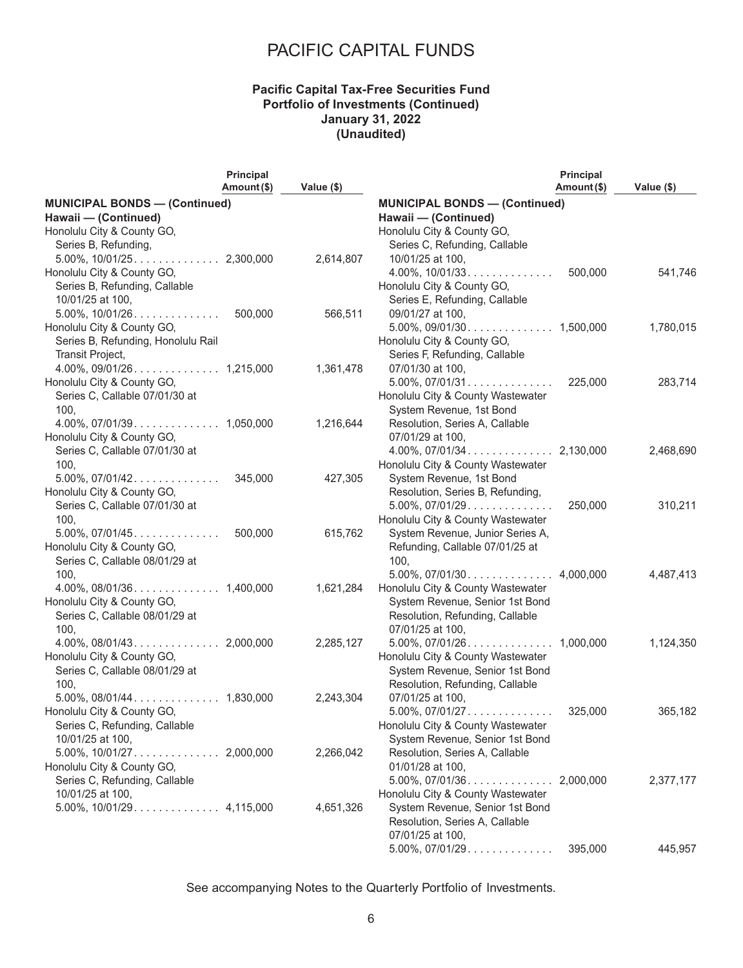### **Pacific Capital Tax-Free Securities Fund Portfolio of Investments (Continued) January 31, 2022 (Unaudited)**

|                                      | Principal   |            |                                      | Principal   |            |
|--------------------------------------|-------------|------------|--------------------------------------|-------------|------------|
|                                      | Amount (\$) | Value (\$) |                                      | Amount (\$) | Value (\$) |
| <b>MUNICIPAL BONDS - (Continued)</b> |             |            | <b>MUNICIPAL BONDS - (Continued)</b> |             |            |
| Hawaii - (Continued)                 |             |            | Hawaii - (Continued)                 |             |            |
| Honolulu City & County GO,           |             |            | Honolulu City & County GO,           |             |            |
| Series B, Refunding,                 |             |            | Series C, Refunding, Callable        |             |            |
|                                      |             | 2,614,807  | 10/01/25 at 100,                     |             |            |
| Honolulu City & County GO,           |             |            | $4.00\%$ , $10/01/33$                | 500,000     | 541,746    |
| Series B, Refunding, Callable        |             |            | Honolulu City & County GO,           |             |            |
| 10/01/25 at 100,                     |             |            | Series E, Refunding, Callable        |             |            |
| $5.00\%$ , $10/01/26$                | 500,000     | 566,511    | 09/01/27 at 100,                     |             |            |
| Honolulu City & County GO,           |             |            |                                      |             | 1,780,015  |
| Series B, Refunding, Honolulu Rail   |             |            | Honolulu City & County GO,           |             |            |
| Transit Project,                     |             |            | Series F, Refunding, Callable        |             |            |
|                                      |             | 1,361,478  | 07/01/30 at 100,                     |             |            |
| Honolulu City & County GO,           |             |            | $5.00\%$ , $07/01/31$                | 225,000     | 283,714    |
| Series C, Callable 07/01/30 at       |             |            | Honolulu City & County Wastewater    |             |            |
| 100,                                 |             |            | System Revenue, 1st Bond             |             |            |
|                                      |             | 1,216,644  | Resolution, Series A, Callable       |             |            |
| Honolulu City & County GO,           |             |            | 07/01/29 at 100,                     |             |            |
| Series C, Callable 07/01/30 at       |             |            |                                      |             | 2,468,690  |
| 100,                                 |             |            | Honolulu City & County Wastewater    |             |            |
| $5.00\%$ , $07/01/42$                | 345,000     | 427,305    | System Revenue, 1st Bond             |             |            |
| Honolulu City & County GO,           |             |            | Resolution, Series B, Refunding,     |             |            |
| Series C, Callable 07/01/30 at       |             |            | $5.00\%$ , $07/01/29$                | 250,000     | 310,211    |
| 100,                                 |             |            | Honolulu City & County Wastewater    |             |            |
| $5.00\%$ , $07/01/45$                | 500,000     | 615,762    | System Revenue, Junior Series A,     |             |            |
| Honolulu City & County GO,           |             |            | Refunding, Callable 07/01/25 at      |             |            |
| Series C, Callable 08/01/29 at       |             |            | 100,                                 |             |            |
| 100,                                 |             |            |                                      |             | 4,487,413  |
|                                      |             | 1,621,284  | Honolulu City & County Wastewater    |             |            |
| Honolulu City & County GO,           |             |            | System Revenue, Senior 1st Bond      |             |            |
| Series C, Callable 08/01/29 at       |             |            | Resolution, Refunding, Callable      |             |            |
| 100,                                 |             |            | 07/01/25 at 100,                     |             |            |
|                                      |             | 2,285,127  |                                      |             | 1,124,350  |
| Honolulu City & County GO,           |             |            | Honolulu City & County Wastewater    |             |            |
| Series C, Callable 08/01/29 at       |             |            | System Revenue, Senior 1st Bond      |             |            |
| 100,                                 |             |            | Resolution, Refunding, Callable      |             |            |
|                                      |             | 2,243,304  | 07/01/25 at 100,                     |             |            |
| Honolulu City & County GO,           |             |            |                                      | 325,000     | 365,182    |
| Series C, Refunding, Callable        |             |            | Honolulu City & County Wastewater    |             |            |
| 10/01/25 at 100,                     |             |            | System Revenue, Senior 1st Bond      |             |            |
|                                      |             | 2,266,042  | Resolution, Series A, Callable       |             |            |
| Honolulu City & County GO,           |             |            | 01/01/28 at 100,                     |             |            |
| Series C, Refunding, Callable        |             |            | $5.00\%$ , $07/01/36$                | 2,000,000   | 2,377,177  |
| 10/01/25 at 100,                     |             |            | Honolulu City & County Wastewater    |             |            |
|                                      |             | 4,651,326  | System Revenue, Senior 1st Bond      |             |            |
|                                      |             |            | Resolution, Series A, Callable       |             |            |
|                                      |             |            | 07/01/25 at 100,                     |             |            |
|                                      |             |            | $5.00\%$ , $07/01/29$                | 395,000     | 445,957    |
|                                      |             |            |                                      |             |            |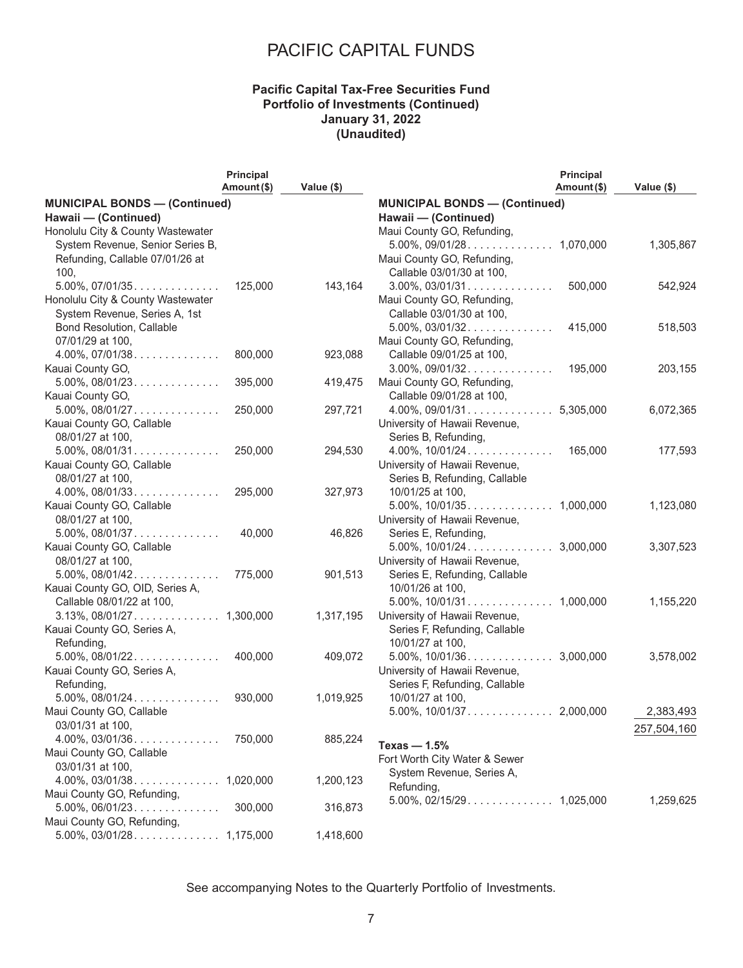### **Pacific Capital Tax-Free Securities Fund Portfolio of Investments (Continued) January 31, 2022 (Unaudited)**

|                                      | Principal   |            |                                      | Principal  |             |
|--------------------------------------|-------------|------------|--------------------------------------|------------|-------------|
|                                      | Amount (\$) | Value (\$) |                                      | Amount(\$) | Value (\$)  |
| <b>MUNICIPAL BONDS - (Continued)</b> |             |            | <b>MUNICIPAL BONDS - (Continued)</b> |            |             |
| Hawaii - (Continued)                 |             |            | Hawaii - (Continued)                 |            |             |
| Honolulu City & County Wastewater    |             |            | Maui County GO, Refunding,           |            |             |
| System Revenue, Senior Series B,     |             |            |                                      |            | 1,305,867   |
| Refunding, Callable 07/01/26 at      |             |            | Maui County GO, Refunding,           |            |             |
| 100,                                 |             |            | Callable 03/01/30 at 100,            |            |             |
| $5.00\%$ , $07/01/35$                | 125,000     | 143,164    | $3.00\%$ , $03/01/31$                | 500,000    | 542,924     |
| Honolulu City & County Wastewater    |             |            | Maui County GO, Refunding,           |            |             |
| System Revenue, Series A, 1st        |             |            | Callable 03/01/30 at 100,            |            |             |
| Bond Resolution, Callable            |             |            | $5.00\%$ , $03/01/32$                | 415,000    | 518,503     |
| 07/01/29 at 100,                     |             |            | Maui County GO, Refunding,           |            |             |
| $4.00\%$ , 07/01/38                  | 800,000     | 923,088    | Callable 09/01/25 at 100,            |            |             |
| Kauai County GO,                     |             |            | $3.00\%$ , $09/01/32$                | 195,000    | 203,155     |
| $5.00\%$ , $08/01/23$                | 395,000     | 419,475    | Maui County GO, Refunding,           |            |             |
| Kauai County GO,                     |             |            | Callable 09/01/28 at 100,            |            |             |
| $5.00\%$ , 08/01/27                  | 250,000     | 297,721    |                                      |            | 6,072,365   |
| Kauai County GO, Callable            |             |            | University of Hawaii Revenue,        |            |             |
| 08/01/27 at 100,                     |             |            | Series B, Refunding,                 |            |             |
| $5.00\%$ , 08/01/31                  | 250,000     | 294,530    | $4.00\%$ , $10/01/24$                | 165,000    | 177,593     |
| Kauai County GO, Callable            |             |            | University of Hawaii Revenue,        |            |             |
| 08/01/27 at 100,                     |             |            | Series B, Refunding, Callable        |            |             |
| $4.00\%$ , $08/01/33$                | 295,000     | 327,973    | 10/01/25 at 100,                     |            |             |
| Kauai County GO, Callable            |             |            |                                      |            | 1,123,080   |
| 08/01/27 at 100,                     |             |            | University of Hawaii Revenue,        |            |             |
|                                      | 40,000      | 46,826     | Series E, Refunding,                 |            |             |
| Kauai County GO, Callable            |             |            |                                      |            | 3,307,523   |
| 08/01/27 at 100,                     |             |            | University of Hawaii Revenue,        |            |             |
|                                      | 775,000     | 901,513    | Series E, Refunding, Callable        |            |             |
| Kauai County GO, OID, Series A,      |             |            | 10/01/26 at 100,                     |            |             |
| Callable 08/01/22 at 100,            |             |            |                                      |            | 1,155,220   |
|                                      |             | 1,317,195  | University of Hawaii Revenue,        |            |             |
| Kauai County GO, Series A,           |             |            | Series F, Refunding, Callable        |            |             |
| Refunding,                           |             |            | 10/01/27 at 100,                     |            |             |
| $5.00\%$ , $08/01/22$                | 400,000     | 409,072    |                                      |            | 3,578,002   |
| Kauai County GO, Series A,           |             |            | University of Hawaii Revenue,        |            |             |
| Refunding,                           |             |            | Series F, Refunding, Callable        |            |             |
| $5.00\%$ , $08/01/24$                | 930,000     | 1,019,925  | 10/01/27 at 100,                     |            |             |
| Maui County GO, Callable             |             |            |                                      |            | 2,383,493   |
| 03/01/31 at 100,                     |             |            |                                      |            | 257,504,160 |
| $4.00\%$ , $03/01/36$                | 750,000     | 885,224    | Texas $-1.5%$                        |            |             |
| Maui County GO, Callable             |             |            | Fort Worth City Water & Sewer        |            |             |
| 03/01/31 at 100,                     |             |            | System Revenue, Series A,            |            |             |
|                                      |             | 1,200,123  | Refunding,                           |            |             |
| Maui County GO, Refunding,           |             |            |                                      |            | 1,259,625   |
| $5.00\%$ , 06/01/23                  | 300,000     | 316,873    |                                      |            |             |
| Maui County GO, Refunding,           |             |            |                                      |            |             |
|                                      |             | 1,418,600  |                                      |            |             |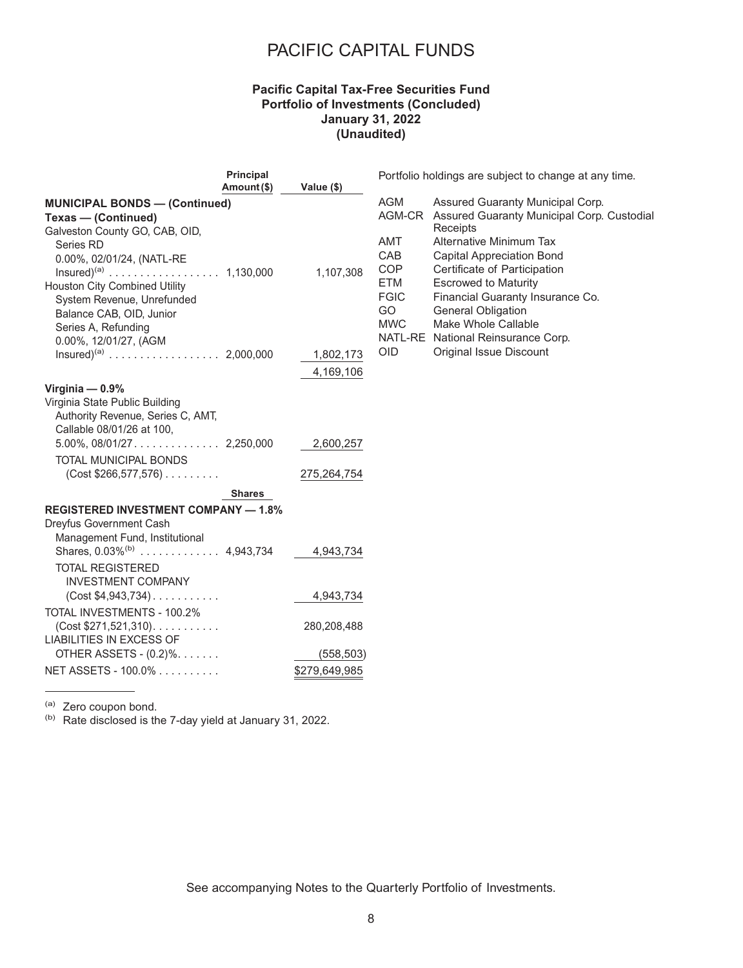#### **Pacific Capital Tax-Free Securities Fund Portfolio of Investments (Concluded) January 31, 2022 (Unaudited)**

|                                                                                                                                                                                                                                                                                                | Principal<br>Amount (\$) | Value (\$)                                 |                                                                                                           | Portfolio holdings are subject to change at any time.                                                                                                                                                                                                                                                            |
|------------------------------------------------------------------------------------------------------------------------------------------------------------------------------------------------------------------------------------------------------------------------------------------------|--------------------------|--------------------------------------------|-----------------------------------------------------------------------------------------------------------|------------------------------------------------------------------------------------------------------------------------------------------------------------------------------------------------------------------------------------------------------------------------------------------------------------------|
| <b>MUNICIPAL BONDS - (Continued)</b><br>Texas - (Continued)<br>Galveston County GO, CAB, OID,<br>Series RD<br>0.00%, 02/01/24, (NATL-RE<br>$Insured)^{(a)}$ 1,130,000<br><b>Houston City Combined Utility</b><br>System Revenue, Unrefunded<br>Balance CAB, OID, Junior<br>Series A, Refunding |                          | 1,107,308                                  | <b>AGM</b><br>AGM-CR<br>AMT<br><b>CAB</b><br><b>COP</b><br><b>ETM</b><br><b>FGIC</b><br>GO.<br><b>MWC</b> | Assured Guaranty Municipal Corp.<br>Assured Guaranty Municipal Corp. Custodial<br>Receipts<br>Alternative Minimum Tax<br><b>Capital Appreciation Bond</b><br>Certificate of Participation<br><b>Escrowed to Maturity</b><br>Financial Guaranty Insurance Co.<br><b>General Obligation</b><br>Make Whole Callable |
| 0.00%, 12/01/27, (AGM                                                                                                                                                                                                                                                                          |                          | 1,802,173<br>4,169,106                     | <b>OID</b>                                                                                                | NATL-RE National Reinsurance Corp.<br><b>Original Issue Discount</b>                                                                                                                                                                                                                                             |
| Virginia $-0.9%$<br>Virginia State Public Building<br>Authority Revenue, Series C, AMT,<br>Callable 08/01/26 at 100.<br>TOTAL MUNICIPAL BONDS<br>$(Cost $266, 577, 576) \ldots \ldots$                                                                                                         |                          | 2,600,257<br>275,264,754                   |                                                                                                           |                                                                                                                                                                                                                                                                                                                  |
|                                                                                                                                                                                                                                                                                                | <b>Shares</b>            |                                            |                                                                                                           |                                                                                                                                                                                                                                                                                                                  |
| <b>REGISTERED INVESTMENT COMPANY - 1.8%</b><br>Dreyfus Government Cash<br>Management Fund, Institutional<br><b>TOTAL REGISTERED</b><br><b>INVESTMENT COMPANY</b><br>$(Cost $4,943,734)$                                                                                                        |                          | 4,943,734<br>4,943,734                     |                                                                                                           |                                                                                                                                                                                                                                                                                                                  |
| TOTAL INVESTMENTS - 100.2%<br>$(Cost $271,521,310)$ .<br><b>LIABILITIES IN EXCESS OF</b><br>OTHER ASSETS - (0.2)%.<br>NET ASSETS - 100.0%                                                                                                                                                      |                          | 280,208,488<br>(558, 503)<br>\$279,649,985 |                                                                                                           |                                                                                                                                                                                                                                                                                                                  |
|                                                                                                                                                                                                                                                                                                |                          |                                            |                                                                                                           |                                                                                                                                                                                                                                                                                                                  |

(a) Zero coupon bond.

(b) Rate disclosed is the 7-day yield at January 31, 2022.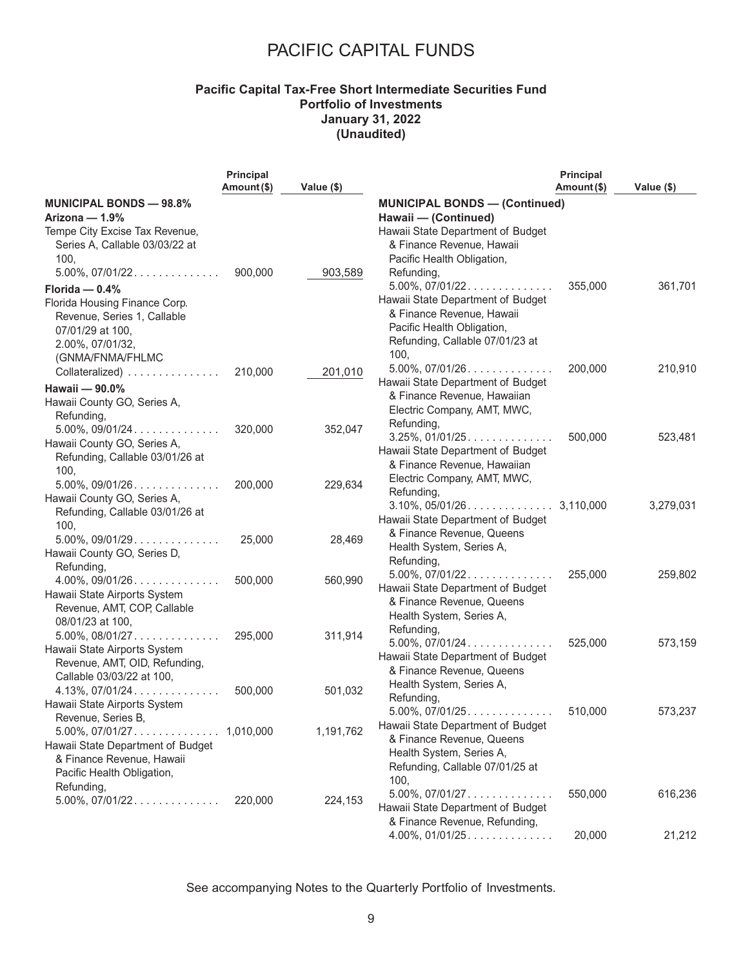### **Pacific Capital Tax-Free Short Intermediate Securities Fund Portfolio of Investments January 31, 2022 (Unaudited)**

|                                                            | <b>Principal</b> |            |                                                                | <b>Principal</b> |            |
|------------------------------------------------------------|------------------|------------|----------------------------------------------------------------|------------------|------------|
|                                                            | Amount (\$)      | Value (\$) |                                                                | Amount(\$)       | Value (\$) |
| <b>MUNICIPAL BONDS - 98.8%</b><br>Arizona - 1.9%           |                  |            | <b>MUNICIPAL BONDS - (Continued)</b><br>Hawaii - (Continued)   |                  |            |
| Tempe City Excise Tax Revenue,                             |                  |            | Hawaii State Department of Budget                              |                  |            |
| Series A, Callable 03/03/22 at                             |                  |            | & Finance Revenue, Hawaii                                      |                  |            |
| 100,                                                       |                  |            | Pacific Health Obligation,                                     |                  |            |
| $5.00\%$ , $07/01/22$                                      | 900,000          | 903,589    | Refunding,                                                     |                  |            |
| Florida $-$ 0.4%                                           |                  |            | $5.00\%$ , $07/01/22$                                          | 355,000          | 361,701    |
| Florida Housing Finance Corp.                              |                  |            | Hawaii State Department of Budget                              |                  |            |
| Revenue, Series 1, Callable                                |                  |            | & Finance Revenue, Hawaii                                      |                  |            |
| 07/01/29 at 100,                                           |                  |            | Pacific Health Obligation,                                     |                  |            |
| 2.00%, 07/01/32,                                           |                  |            | Refunding, Callable 07/01/23 at                                |                  |            |
| (GNMA/FNMA/FHLMC                                           |                  |            | 100,<br>$5.00\%$ , $07/01/26$                                  | 200,000          | 210,910    |
| Collateralized)                                            | 210,000          | 201,010    | Hawaii State Department of Budget                              |                  |            |
| Hawaii - 90.0%                                             |                  |            | & Finance Revenue, Hawaiian                                    |                  |            |
| Hawaii County GO, Series A,                                |                  |            | Electric Company, AMT, MWC,                                    |                  |            |
| Refunding,                                                 |                  |            | Refunding,                                                     |                  |            |
| $5.00\%$ , $09/01/24$                                      | 320,000          | 352,047    | $3.25\%$ , 01/01/25                                            | 500,000          | 523,481    |
| Hawaii County GO, Series A,                                |                  |            | Hawaii State Department of Budget                              |                  |            |
| Refunding, Callable 03/01/26 at<br>100,                    |                  |            | & Finance Revenue, Hawaiian                                    |                  |            |
| $5.00\%$ , $09/01/26$                                      | 200,000          | 229,634    | Electric Company, AMT, MWC,                                    |                  |            |
| Hawaii County GO, Series A,                                |                  |            | Refunding,                                                     |                  |            |
| Refunding, Callable 03/01/26 at                            |                  |            |                                                                |                  | 3,279,031  |
| 100,                                                       |                  |            | Hawaii State Department of Budget                              |                  |            |
| $5.00\%$ , $09/01/29$                                      | 25,000           | 28,469     | & Finance Revenue, Queens                                      |                  |            |
| Hawaii County GO, Series D,                                |                  |            | Health System, Series A,                                       |                  |            |
| Refunding,                                                 |                  |            | Refunding,                                                     |                  |            |
| $4.00\%$ , 09/01/26                                        | 500,000          | 560,990    | $5.00\%$ , $07/01/22$                                          | 255,000          | 259,802    |
| Hawaii State Airports System                               |                  |            | Hawaii State Department of Budget<br>& Finance Revenue, Queens |                  |            |
| Revenue, AMT, COP, Callable                                |                  |            | Health System, Series A,                                       |                  |            |
| 08/01/23 at 100,                                           |                  |            | Refunding,                                                     |                  |            |
|                                                            | 295,000          | 311,914    | $5.00\%$ , $07/01/24$                                          | 525,000          | 573,159    |
| Hawaii State Airports System                               |                  |            | Hawaii State Department of Budget                              |                  |            |
| Revenue, AMT, OID, Refunding,<br>Callable 03/03/22 at 100, |                  |            | & Finance Revenue, Queens                                      |                  |            |
| $4.13\%$ , 07/01/24                                        | 500,000          | 501,032    | Health System, Series A,                                       |                  |            |
| Hawaii State Airports System                               |                  |            | Refunding,                                                     |                  |            |
| Revenue, Series B,                                         |                  |            | $5.00\%$ , $07/01/25$                                          | 510,000          | 573,237    |
|                                                            |                  | 1,191,762  | Hawaii State Department of Budget                              |                  |            |
| Hawaii State Department of Budget                          |                  |            | & Finance Revenue, Queens                                      |                  |            |
| & Finance Revenue, Hawaii                                  |                  |            | Health System, Series A,<br>Refunding, Callable 07/01/25 at    |                  |            |
| Pacific Health Obligation,                                 |                  |            | 100,                                                           |                  |            |
| Refunding,                                                 |                  |            | $5.00\%$ , $07/01/27$                                          | 550,000          | 616,236    |
| $5.00\%$ , $07/01/22$                                      | 220,000          | 224,153    | Hawaii State Department of Budget                              |                  |            |
|                                                            |                  |            | & Finance Revenue, Refunding,                                  |                  |            |
|                                                            |                  |            | $4.00\%$ , $01/01/25$                                          | 20,000           | 21,212     |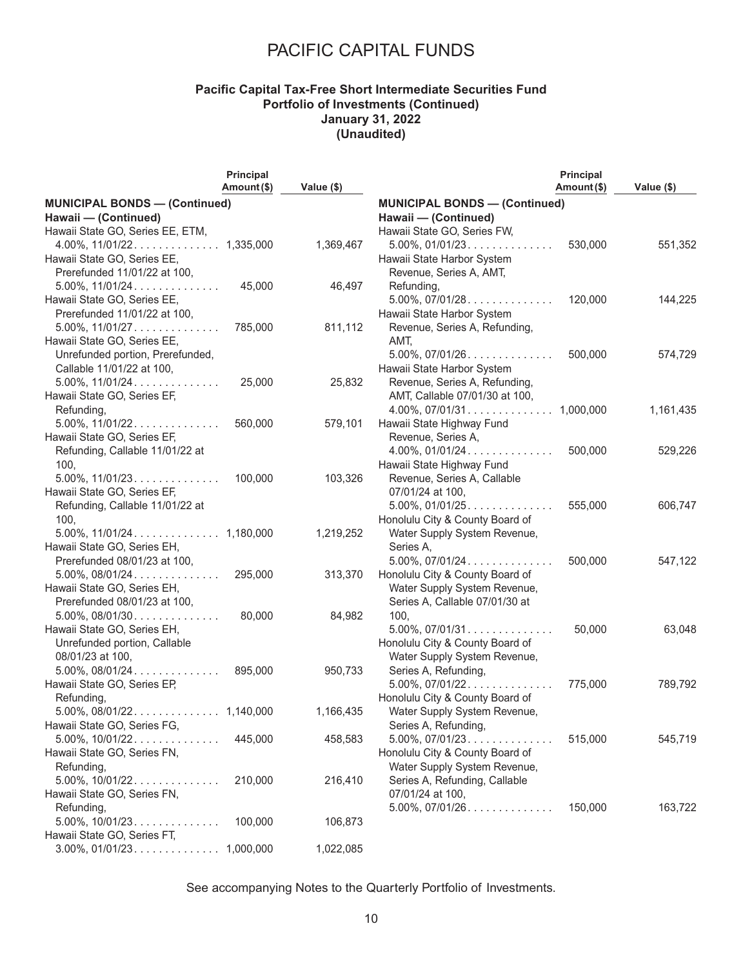### **Pacific Capital Tax-Free Short Intermediate Securities Fund Portfolio of Investments (Continued) January 31, 2022 (Unaudited)**

|                                                                | <b>Principal</b><br>Amount (\$) |            |                                                          | <b>Principal</b><br>Amount(\$) |            |
|----------------------------------------------------------------|---------------------------------|------------|----------------------------------------------------------|--------------------------------|------------|
| <b>MUNICIPAL BONDS - (Continued)</b>                           |                                 | Value (\$) | <b>MUNICIPAL BONDS - (Continued)</b>                     |                                | Value (\$) |
| Hawaii - (Continued)                                           |                                 |            | Hawaii - (Continued)                                     |                                |            |
| Hawaii State GO, Series EE, ETM,                               |                                 |            | Hawaii State GO, Series FW,                              |                                |            |
|                                                                |                                 | 1,369,467  | $5.00\%$ , $01/01/23$                                    | 530,000                        | 551,352    |
| Hawaii State GO, Series EE,                                    |                                 |            | Hawaii State Harbor System                               |                                |            |
| Prerefunded 11/01/22 at 100,                                   |                                 |            | Revenue, Series A, AMT,                                  |                                |            |
| $5.00\%$ , $11/01/24$                                          | 45,000                          | 46,497     | Refunding,                                               |                                |            |
| Hawaii State GO, Series EE,                                    |                                 |            | $5.00\%$ , $07/01/28$                                    | 120,000                        | 144,225    |
|                                                                |                                 |            | Hawaii State Harbor System                               |                                |            |
| Prerefunded 11/01/22 at 100,                                   | 785,000                         | 811,112    | Revenue, Series A, Refunding,                            |                                |            |
| Hawaii State GO, Series EE,                                    |                                 |            | AMT,                                                     |                                |            |
| Unrefunded portion, Prerefunded,                               |                                 |            | $5.00\%$ , $07/01/26$                                    | 500,000                        |            |
|                                                                |                                 |            | Hawaii State Harbor System                               |                                | 574,729    |
| Callable 11/01/22 at 100,                                      |                                 | 25,832     |                                                          |                                |            |
| $5.00\%$ , $11/01/24$                                          | 25,000                          |            | Revenue, Series A, Refunding,                            |                                |            |
| Hawaii State GO, Series EF,                                    |                                 |            | AMT, Callable 07/01/30 at 100,                           |                                |            |
| Refunding,<br>$5.00\%$ , $11/01/22$                            | 560,000                         | 579,101    | Hawaii State Highway Fund                                |                                | 1,161,435  |
| Hawaii State GO, Series EF,                                    |                                 |            |                                                          |                                |            |
|                                                                |                                 |            | Revenue, Series A,<br>$4.00\%$ , $01/01/24$              |                                |            |
| Refunding, Callable 11/01/22 at                                |                                 |            |                                                          | 500,000                        | 529,226    |
| 100,                                                           |                                 |            | Hawaii State Highway Fund                                |                                |            |
| $5.00\%$ , $11/01/23$                                          | 100,000                         | 103,326    | Revenue, Series A, Callable                              |                                |            |
| Hawaii State GO, Series EF,<br>Refunding, Callable 11/01/22 at |                                 |            | 07/01/24 at 100,                                         | 555,000                        | 606,747    |
|                                                                |                                 |            | $5.00\%$ , $01/01/25$<br>Honolulu City & County Board of |                                |            |
| 100,                                                           |                                 |            |                                                          |                                |            |
|                                                                |                                 | 1,219,252  | Water Supply System Revenue,                             |                                |            |
| Hawaii State GO, Series EH,                                    |                                 |            | Series A.                                                |                                |            |
| Prerefunded 08/01/23 at 100,                                   |                                 |            | $5.00\%$ , $07/01/24$                                    | 500,000                        | 547,122    |
| $5.00\%$ , $08/01/24$                                          | 295,000                         | 313,370    | Honolulu City & County Board of                          |                                |            |
| Hawaii State GO, Series EH,                                    |                                 |            | Water Supply System Revenue,                             |                                |            |
| Prerefunded 08/01/23 at 100,                                   |                                 |            | Series A, Callable 07/01/30 at                           |                                |            |
| $5.00\%$ , $08/01/30$                                          | 80,000                          | 84,982     | 100,                                                     |                                |            |
| Hawaii State GO, Series EH,                                    |                                 |            | $5.00\%$ , $07/01/31$                                    | 50,000                         | 63,048     |
| Unrefunded portion, Callable                                   |                                 |            | Honolulu City & County Board of                          |                                |            |
| 08/01/23 at 100,                                               |                                 |            | Water Supply System Revenue,                             |                                |            |
| $5.00\%$ , $08/01/24$                                          | 895,000                         | 950,733    | Series A, Refunding,                                     |                                |            |
| Hawaii State GO, Series EP,                                    |                                 |            | $5.00\%$ , $07/01/22$                                    | 775,000                        | 789,792    |
| Refunding,                                                     |                                 |            | Honolulu City & County Board of                          |                                |            |
|                                                                |                                 | 1,166,435  | Water Supply System Revenue,                             |                                |            |
| Hawaii State GO, Series FG,                                    |                                 |            | Series A, Refunding,                                     |                                |            |
| $5.00\%$ , $10/01/22$                                          | 445,000                         | 458,583    | $5.00\%$ , $07/01/23$                                    | 515,000                        | 545,719    |
| Hawaii State GO, Series FN,                                    |                                 |            | Honolulu City & County Board of                          |                                |            |
| Refunding,                                                     |                                 |            | Water Supply System Revenue,                             |                                |            |
| $5.00\%$ , $10/01/22$                                          | 210,000                         | 216,410    | Series A, Refunding, Callable                            |                                |            |
| Hawaii State GO, Series FN,                                    |                                 |            | 07/01/24 at 100,                                         |                                |            |
| Refunding,                                                     |                                 |            | $5.00\%$ , $07/01/26$                                    | 150,000                        | 163,722    |
| $5.00\%$ , $10/01/23$                                          | 100,000                         | 106,873    |                                                          |                                |            |
| Hawaii State GO, Series FT,                                    |                                 |            |                                                          |                                |            |
|                                                                |                                 | 1,022,085  |                                                          |                                |            |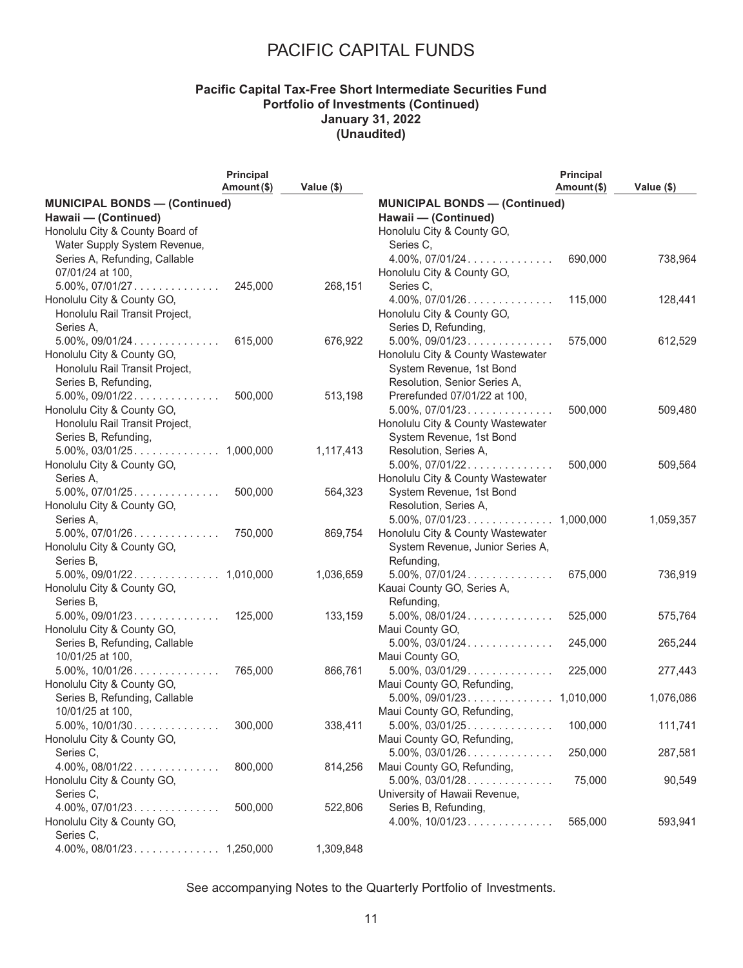### **Pacific Capital Tax-Free Short Intermediate Securities Fund Portfolio of Investments (Continued) January 31, 2022 (Unaudited)**

|                                      | Principal   |            |                                      | <b>Principal</b> |            |
|--------------------------------------|-------------|------------|--------------------------------------|------------------|------------|
|                                      | Amount (\$) | Value (\$) |                                      | Amount (\$)      | Value (\$) |
| <b>MUNICIPAL BONDS - (Continued)</b> |             |            | <b>MUNICIPAL BONDS - (Continued)</b> |                  |            |
| Hawaii - (Continued)                 |             |            | Hawaii - (Continued)                 |                  |            |
| Honolulu City & County Board of      |             |            | Honolulu City & County GO,           |                  |            |
| Water Supply System Revenue,         |             |            | Series C,                            |                  |            |
| Series A, Refunding, Callable        |             |            | $4.00\%$ , $07/01/24$                | 690,000          | 738,964    |
| 07/01/24 at 100,                     |             |            | Honolulu City & County GO,           |                  |            |
| $5.00\%$ , $07/01/27$                | 245,000     | 268,151    | Series C,                            |                  |            |
| Honolulu City & County GO,           |             |            | $4.00\%$ , $07/01/26$                | 115,000          | 128,441    |
| Honolulu Rail Transit Project,       |             |            | Honolulu City & County GO,           |                  |            |
| Series A.                            |             |            | Series D, Refunding,                 |                  |            |
| $5.00\%$ , 09/01/24                  | 615,000     | 676,922    | $5.00\%$ , $09/01/23$                | 575,000          | 612,529    |
| Honolulu City & County GO,           |             |            | Honolulu City & County Wastewater    |                  |            |
| Honolulu Rail Transit Project,       |             |            | System Revenue, 1st Bond             |                  |            |
| Series B, Refunding,                 |             |            | Resolution, Senior Series A,         |                  |            |
|                                      | 500,000     | 513,198    | Prerefunded 07/01/22 at 100,         |                  |            |
| Honolulu City & County GO,           |             |            | $5.00\%$ , $07/01/23$                | 500,000          | 509,480    |
| Honolulu Rail Transit Project,       |             |            | Honolulu City & County Wastewater    |                  |            |
| Series B, Refunding,                 |             |            | System Revenue, 1st Bond             |                  |            |
|                                      |             | 1,117,413  | Resolution, Series A,                |                  |            |
| Honolulu City & County GO,           |             |            | $5.00\%$ , $07/01/22$                | 500,000          | 509,564    |
| Series A.                            |             |            | Honolulu City & County Wastewater    |                  |            |
| $5.00\%$ , $07/01/25$                | 500,000     | 564,323    | System Revenue, 1st Bond             |                  |            |
| Honolulu City & County GO,           |             |            | Resolution, Series A,                |                  |            |
| Series A,                            |             |            |                                      |                  | 1,059,357  |
| $5.00\%$ , $07/01/26$                | 750,000     | 869,754    | Honolulu City & County Wastewater    |                  |            |
| Honolulu City & County GO,           |             |            | System Revenue, Junior Series A,     |                  |            |
| Series B,                            |             |            | Refunding,                           |                  |            |
|                                      |             | 1,036,659  | $5.00\%$ , $07/01/24$                | 675,000          | 736,919    |
| Honolulu City & County GO,           |             |            | Kauai County GO, Series A,           |                  |            |
| Series B,                            |             |            | Refunding,                           |                  |            |
| $5.00\%$ , 09/01/23                  | 125,000     | 133,159    | $5.00\%$ , $08/01/24$                | 525,000          | 575,764    |
| Honolulu City & County GO,           |             |            | Maui County GO,                      |                  |            |
| Series B, Refunding, Callable        |             |            | $5.00\%$ , 03/01/24                  | 245,000          | 265,244    |
| 10/01/25 at 100,                     |             |            | Maui County GO,                      |                  |            |
|                                      | 765,000     | 866,761    | $5.00\%$ , $03/01/29$                | 225,000          | 277,443    |
| Honolulu City & County GO,           |             |            | Maui County GO, Refunding,           |                  |            |
| Series B, Refunding, Callable        |             |            | $5.00\%$ , 09/01/23. 1,010,000       |                  | 1,076,086  |
| 10/01/25 at 100,                     |             |            | Maui County GO, Refunding,           |                  |            |
| $5.00\%$ , 10/01/30                  | 300,000     | 338,411    |                                      |                  | 111,741    |
| Honolulu City & County GO,           |             |            | Maui County GO, Refunding,           |                  |            |
| Series C,                            |             |            | $5.00\%$ , $03/01/26$                | 250,000          | 287,581    |
| $4.00\%$ , $08/01/22$                | 800,000     | 814,256    | Maui County GO, Refunding,           |                  |            |
| Honolulu City & County GO,           |             |            | $5.00\%$ , $03/01/28$                | 75,000           | 90,549     |
| Series C,                            |             |            | University of Hawaii Revenue,        |                  |            |
| $4.00\%$ , $07/01/23$                | 500,000     | 522,806    | Series B, Refunding,                 |                  |            |
| Honolulu City & County GO,           |             |            | $4.00\%$ , $10/01/23$                | 565,000          | 593,941    |
| Series C,                            |             |            |                                      |                  |            |
|                                      |             | 1,309,848  |                                      |                  |            |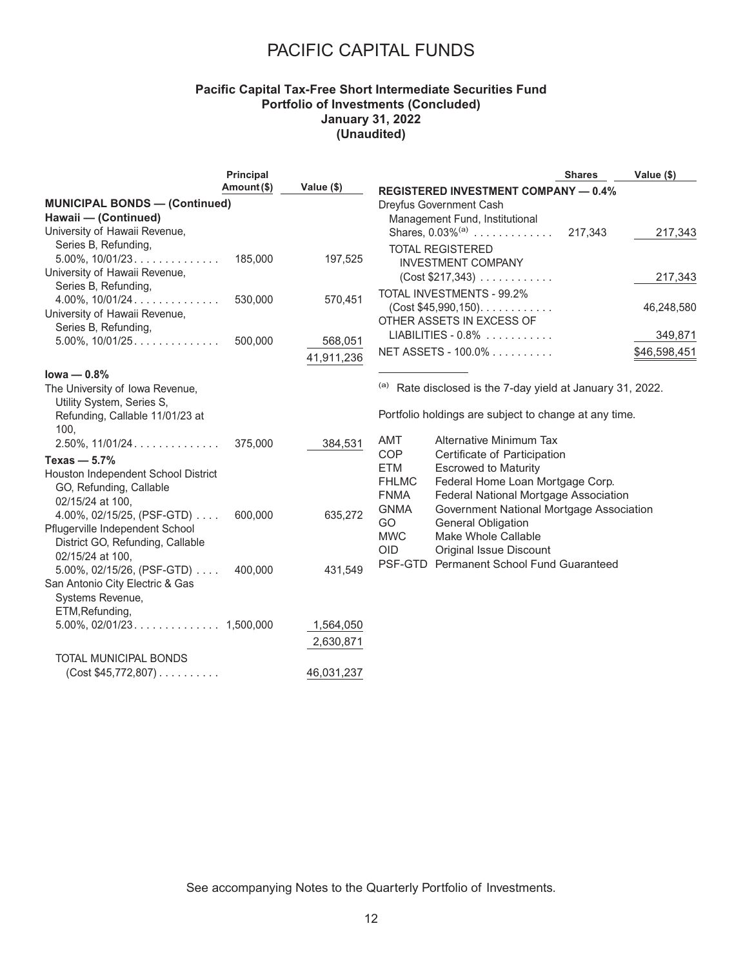### **Pacific Capital Tax-Free Short Intermediate Securities Fund Portfolio of Investments (Concluded) January 31, 2022 (Unaudited)**

|                                                                                                                                | <b>Principal</b> |                        |                                                                                                                                                                                                     | <b>Shares</b> | Value (\$)              |
|--------------------------------------------------------------------------------------------------------------------------------|------------------|------------------------|-----------------------------------------------------------------------------------------------------------------------------------------------------------------------------------------------------|---------------|-------------------------|
|                                                                                                                                | Amount (\$)      | Value (\$)             | <b>REGISTERED INVESTMENT COMPANY - 0.4%</b>                                                                                                                                                         |               |                         |
| <b>MUNICIPAL BONDS - (Continued)</b><br>Hawaii - (Continued)<br>University of Hawaii Revenue,                                  |                  |                        | Dreyfus Government Cash<br>Management Fund, Institutional<br>Shares, $0.03\%^{(a)}$                                                                                                                 | 217,343       | 217,343                 |
| Series B, Refunding,<br>$5.00\%$ , $10/01/23$<br>University of Hawaii Revenue,                                                 | 185,000          | 197,525                | <b>TOTAL REGISTERED</b><br><b>INVESTMENT COMPANY</b><br>(Cost \$217,343)                                                                                                                            |               | 217,343                 |
| Series B, Refunding,<br>$4.00\%$ , $10/01/24$<br>University of Hawaii Revenue,<br>Series B, Refunding,                         | 530,000          | 570,451                | <b>TOTAL INVESTMENTS - 99.2%</b><br>$(Cost $45,990,150)$ .<br>OTHER ASSETS IN EXCESS OF                                                                                                             |               | 46,248,580              |
|                                                                                                                                | 500,000          | 568,051<br>41,911,236  | $LIABILITY - 0.8\%$<br>NET ASSETS - 100.0%                                                                                                                                                          |               | 349,871<br>\$46,598,451 |
| lowa $-0.8%$                                                                                                                   |                  |                        |                                                                                                                                                                                                     |               |                         |
| The University of Iowa Revenue,<br>Utility System, Series S,                                                                   |                  |                        | <sup>(a)</sup> Rate disclosed is the 7-day yield at January 31, 2022.<br>Portfolio holdings are subject to change at any time.                                                                      |               |                         |
| Refunding, Callable 11/01/23 at<br>100.<br>$2.50\%$ , 11/01/24                                                                 | 375,000          | 384,531                | <b>Alternative Minimum Tax</b><br>AMT                                                                                                                                                               |               |                         |
| Texas $-5.7%$<br>Houston Independent School District<br>GO, Refunding, Callable<br>02/15/24 at 100,                            |                  |                        | <b>COP</b><br>Certificate of Participation<br><b>ETM</b><br><b>Escrowed to Maturity</b><br><b>FHLMC</b><br>Federal Home Loan Mortgage Corp.<br>Federal National Mortgage Association<br><b>FNMA</b> |               |                         |
| 4.00%, 02/15/25, (PSF-GTD) $\ldots$<br>Pflugerville Independent School<br>District GO, Refunding, Callable<br>02/15/24 at 100. | 600,000          | 635,272                | Government National Mortgage Association<br><b>GNMA</b><br>GO<br><b>General Obligation</b><br>Make Whole Callable<br><b>MWC</b><br><b>OID</b><br><b>Original Issue Discount</b>                     |               |                         |
| $5.00\%$ , 02/15/26, (PSF-GTD) $\ldots$<br>San Antonio City Electric & Gas<br>Systems Revenue,                                 | 400,000          | 431,549                | PSF-GTD Permanent School Fund Guaranteed                                                                                                                                                            |               |                         |
| ETM, Refunding,                                                                                                                |                  | 1,564,050<br>2,630,871 |                                                                                                                                                                                                     |               |                         |
| <b>TOTAL MUNICIPAL BONDS</b><br>$(Cost $45,772,807)$                                                                           |                  | 46,031,237             |                                                                                                                                                                                                     |               |                         |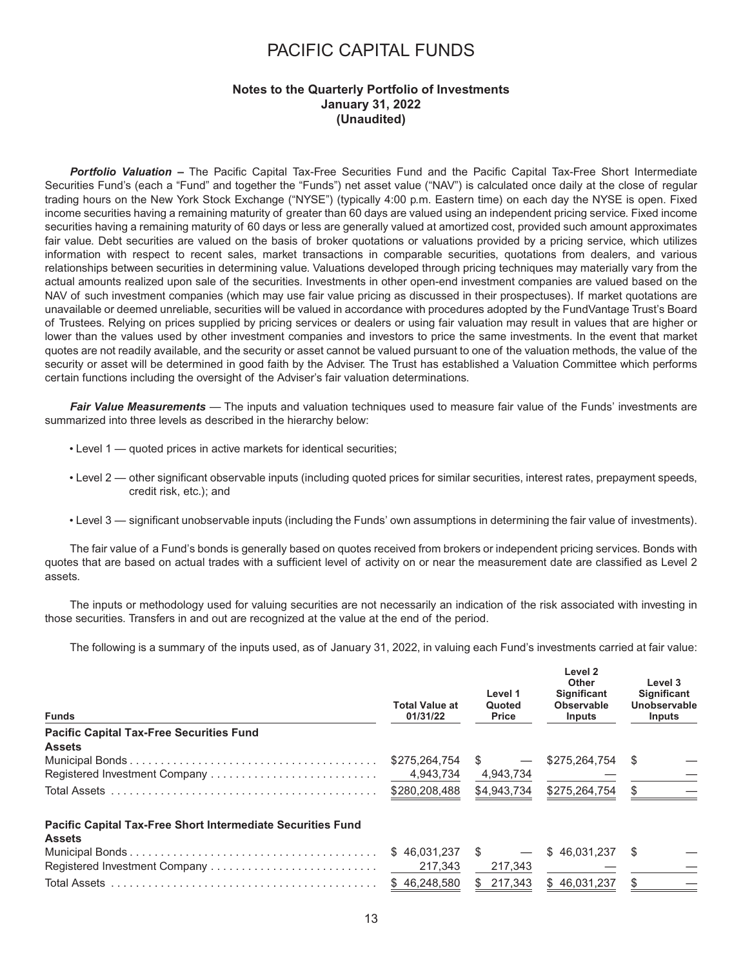#### **Notes to the Quarterly Portfolio of Investments January 31, 2022 (Unaudited)**

*Portfolio Valuation –* The Pacific Capital Tax-Free Securities Fund and the Pacific Capital Tax-Free Short Intermediate Securities Fund's (each a "Fund" and together the "Funds") net asset value ("NAV") is calculated once daily at the close of regular trading hours on the New York Stock Exchange ("NYSE") (typically 4:00 p.m. Eastern time) on each day the NYSE is open. Fixed income securities having a remaining maturity of greater than 60 days are valued using an independent pricing service. Fixed income securities having a remaining maturity of 60 days or less are generally valued at amortized cost, provided such amount approximates fair value. Debt securities are valued on the basis of broker quotations or valuations provided by a pricing service, which utilizes information with respect to recent sales, market transactions in comparable securities, quotations from dealers, and various relationships between securities in determining value. Valuations developed through pricing techniques may materially vary from the actual amounts realized upon sale of the securities. Investments in other open-end investment companies are valued based on the NAV of such investment companies (which may use fair value pricing as discussed in their prospectuses). If market quotations are unavailable or deemed unreliable, securities will be valued in accordance with procedures adopted by the FundVantage Trust's Board of Trustees. Relying on prices supplied by pricing services or dealers or using fair valuation may result in values that are higher or lower than the values used by other investment companies and investors to price the same investments. In the event that market quotes are not readily available, and the security or asset cannot be valued pursuant to one of the valuation methods, the value of the security or asset will be determined in good faith by the Adviser. The Trust has established a Valuation Committee which performs certain functions including the oversight of the Adviser's fair valuation determinations.

*Fair Value Measurements —* The inputs and valuation techniques used to measure fair value of the Funds' investments are summarized into three levels as described in the hierarchy below:

- Level 1 quoted prices in active markets for identical securities;
- Level 2 other significant observable inputs (including quoted prices for similar securities, interest rates, prepayment speeds, credit risk, etc.); and
- Level 3 significant unobservable inputs (including the Funds' own assumptions in determining the fair value of investments).

The fair value of a Fund's bonds is generally based on quotes received from brokers or independent pricing services. Bonds with quotes that are based on actual trades with a sufficient level of activity on or near the measurement date are classified as Level 2 assets.

The inputs or methodology used for valuing securities are not necessarily an indication of the risk associated with investing in those securities. Transfers in and out are recognized at the value at the end of the period.

The following is a summary of the inputs used, as of January 31, 2022, in valuing each Fund's investments carried at fair value:

| <b>Funds</b>                                                                        | <b>Total Value at</b><br>01/31/22 | Level 1<br>Quoted<br><b>Price</b> | Level 2<br><b>Other</b><br><b>Significant</b><br><b>Observable</b><br><b>Inputs</b> | Level 3<br><b>Significant</b><br>Unobservable<br><b>Inputs</b> |
|-------------------------------------------------------------------------------------|-----------------------------------|-----------------------------------|-------------------------------------------------------------------------------------|----------------------------------------------------------------|
| <b>Pacific Capital Tax-Free Securities Fund</b>                                     |                                   |                                   |                                                                                     |                                                                |
| <b>Assets</b>                                                                       |                                   |                                   |                                                                                     |                                                                |
|                                                                                     | \$275,264,754                     | -SS                               | \$275,264,754                                                                       | -S                                                             |
| Registered Investment Company                                                       | 4.943.734                         | 4,943,734                         |                                                                                     |                                                                |
|                                                                                     | \$280,208,488                     | \$4,943,734                       | \$275,264,754                                                                       | \$.                                                            |
| <b>Pacific Capital Tax-Free Short Intermediate Securities Fund</b><br><b>Assets</b> |                                   |                                   |                                                                                     |                                                                |
|                                                                                     | \$46,031,237                      | <b>S</b>                          | \$46.031.237                                                                        | S                                                              |
|                                                                                     | 217.343                           | 217,343                           |                                                                                     |                                                                |
|                                                                                     | \$46,248,580                      | 217,343                           | \$46.031.237                                                                        | \$                                                             |
|                                                                                     |                                   |                                   |                                                                                     |                                                                |